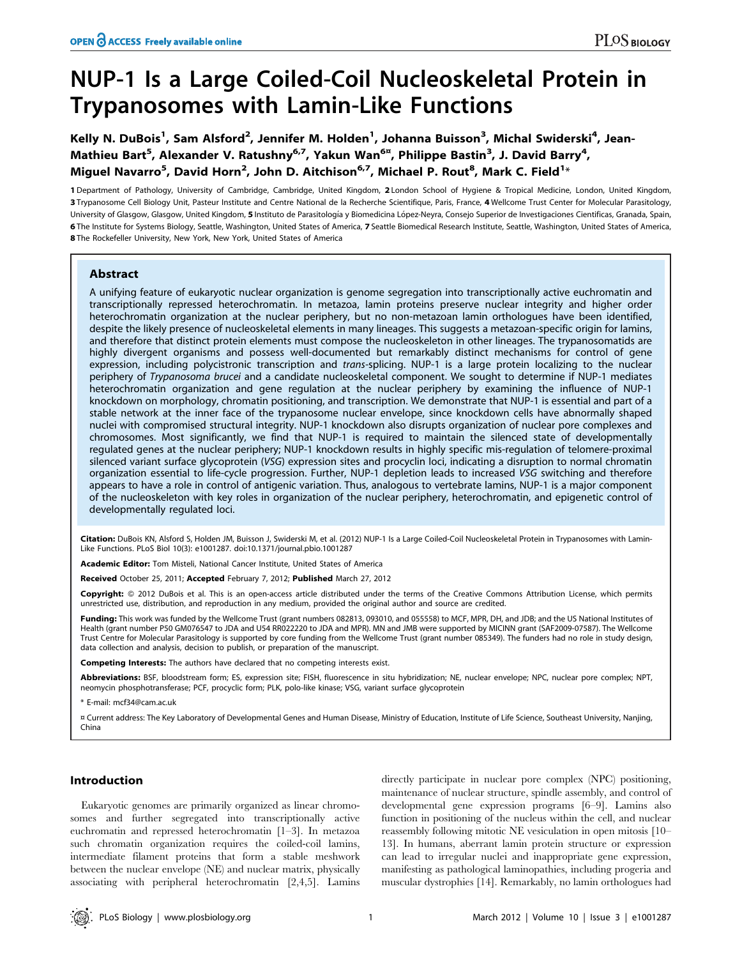# NUP-1 Is a Large Coiled-Coil Nucleoskeletal Protein in Trypanosomes with Lamin-Like Functions

Kelly N. DuBois<sup>1</sup>, Sam Alsford<sup>2</sup>, Jennifer M. Holden<sup>1</sup>, Johanna Buisson<sup>3</sup>, Michal Swiderski<sup>4</sup>, Jean-Mathieu Bart<sup>5</sup>, Alexander V. Ratushny<sup>6,7</sup>, Yakun Wan<sup>6¤</sup>, Philippe Bastin<sup>3</sup>, J. David Barry<sup>4</sup>, Miguel Navarro<sup>5</sup>, David Horn<sup>2</sup>, John D. Aitchison<sup>6,7</sup>, Michael P. Rout<sup>8</sup>, Mark C. Field<sup>1</sup>\*

1 Department of Pathology, University of Cambridge, Cambridge, United Kingdom, 2 London School of Hygiene & Tropical Medicine, London, United Kingdom, 3 Trypanosome Cell Biology Unit, Pasteur Institute and Centre National de la Recherche Scientifique, Paris, France, 4 Wellcome Trust Center for Molecular Parasitology, University of Glasgow, Glasgow, United Kingdom, 5 Instituto de Parasitología y Biomedicina López-Neyra, Consejo Superior de Investigaciones Cientificas, Granada, Spain, 6 The Institute for Systems Biology, Seattle, Washington, United States of America, 7 Seattle Biomedical Research Institute, Seattle, Washington, United States of America, 8 The Rockefeller University, New York, New York, United States of America

# Abstract

A unifying feature of eukaryotic nuclear organization is genome segregation into transcriptionally active euchromatin and transcriptionally repressed heterochromatin. In metazoa, lamin proteins preserve nuclear integrity and higher order heterochromatin organization at the nuclear periphery, but no non-metazoan lamin orthologues have been identified, despite the likely presence of nucleoskeletal elements in many lineages. This suggests a metazoan-specific origin for lamins, and therefore that distinct protein elements must compose the nucleoskeleton in other lineages. The trypanosomatids are highly divergent organisms and possess well-documented but remarkably distinct mechanisms for control of gene expression, including polycistronic transcription and trans-splicing. NUP-1 is a large protein localizing to the nuclear periphery of Trypanosoma brucei and a candidate nucleoskeletal component. We sought to determine if NUP-1 mediates heterochromatin organization and gene regulation at the nuclear periphery by examining the influence of NUP-1 knockdown on morphology, chromatin positioning, and transcription. We demonstrate that NUP-1 is essential and part of a stable network at the inner face of the trypanosome nuclear envelope, since knockdown cells have abnormally shaped nuclei with compromised structural integrity. NUP-1 knockdown also disrupts organization of nuclear pore complexes and chromosomes. Most significantly, we find that NUP-1 is required to maintain the silenced state of developmentally regulated genes at the nuclear periphery; NUP-1 knockdown results in highly specific mis-regulation of telomere-proximal silenced variant surface glycoprotein (VSG) expression sites and procyclin loci, indicating a disruption to normal chromatin organization essential to life-cycle progression. Further, NUP-1 depletion leads to increased VSG switching and therefore appears to have a role in control of antigenic variation. Thus, analogous to vertebrate lamins, NUP-1 is a major component of the nucleoskeleton with key roles in organization of the nuclear periphery, heterochromatin, and epigenetic control of developmentally regulated loci.

Citation: DuBois KN, Alsford S, Holden JM, Buisson J, Swiderski M, et al. (2012) NUP-1 Is a Large Coiled-Coil Nucleoskeletal Protein in Trypanosomes with Lamin-Like Functions. PLoS Biol 10(3): e1001287. doi:10.1371/journal.pbio.1001287

Academic Editor: Tom Misteli, National Cancer Institute, United States of America

Received October 25, 2011; Accepted February 7, 2012; Published March 27, 2012

Copyright: © 2012 DuBois et al. This is an open-access article distributed under the terms of the Creative Commons Attribution License, which permits unrestricted use, distribution, and reproduction in any medium, provided the original author and source are credited.

Funding: This work was funded by the Wellcome Trust (grant numbers 082813, 093010, and 055558) to MCF, MPR, DH, and JDB; and the US National Institutes of Health (grant number P50 GM076547 to JDA and U54 RR022220 to JDA and MPR). MN and JMB were supported by MICINN grant (SAF2009-07587). The Wellcome Trust Centre for Molecular Parasitology is supported by core funding from the Wellcome Trust (grant number 085349). The funders had no role in study design, data collection and analysis, decision to publish, or preparation of the manuscript.

Competing Interests: The authors have declared that no competing interests exist.

Abbreviations: BSF, bloodstream form; ES, expression site; FISH, fluorescence in situ hybridization; NE, nuclear envelope; NPC, nuclear pore complex; NPT, neomycin phosphotransferase; PCF, procyclic form; PLK, polo-like kinase; VSG, variant surface glycoprotein

\* E-mail: mcf34@cam.ac.uk

¤ Current address: The Key Laboratory of Developmental Genes and Human Disease, Ministry of Education, Institute of Life Science, Southeast University, Nanjing, China

# Introduction

Eukaryotic genomes are primarily organized as linear chromosomes and further segregated into transcriptionally active euchromatin and repressed heterochromatin [1–3]. In metazoa such chromatin organization requires the coiled-coil lamins, intermediate filament proteins that form a stable meshwork between the nuclear envelope (NE) and nuclear matrix, physically associating with peripheral heterochromatin [2,4,5]. Lamins

directly participate in nuclear pore complex (NPC) positioning, maintenance of nuclear structure, spindle assembly, and control of developmental gene expression programs [6–9]. Lamins also function in positioning of the nucleus within the cell, and nuclear reassembly following mitotic NE vesiculation in open mitosis [10– 13]. In humans, aberrant lamin protein structure or expression can lead to irregular nuclei and inappropriate gene expression, manifesting as pathological laminopathies, including progeria and muscular dystrophies [14]. Remarkably, no lamin orthologues had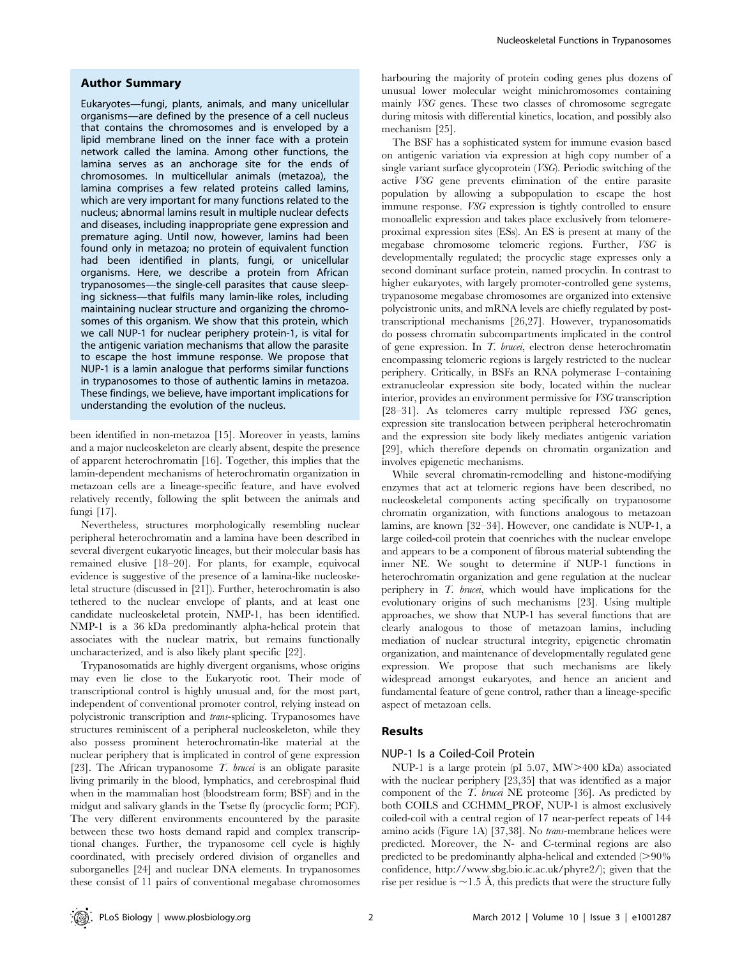### Author Summary

Eukaryotes—fungi, plants, animals, and many unicellular organisms—are defined by the presence of a cell nucleus that contains the chromosomes and is enveloped by a lipid membrane lined on the inner face with a protein network called the lamina. Among other functions, the lamina serves as an anchorage site for the ends of chromosomes. In multicellular animals (metazoa), the lamina comprises a few related proteins called lamins, which are very important for many functions related to the nucleus; abnormal lamins result in multiple nuclear defects and diseases, including inappropriate gene expression and premature aging. Until now, however, lamins had been found only in metazoa; no protein of equivalent function had been identified in plants, fungi, or unicellular organisms. Here, we describe a protein from African trypanosomes—the single-cell parasites that cause sleeping sickness—that fulfils many lamin-like roles, including maintaining nuclear structure and organizing the chromosomes of this organism. We show that this protein, which we call NUP-1 for nuclear periphery protein-1, is vital for the antigenic variation mechanisms that allow the parasite to escape the host immune response. We propose that NUP-1 is a lamin analogue that performs similar functions in trypanosomes to those of authentic lamins in metazoa. These findings, we believe, have important implications for understanding the evolution of the nucleus.

been identified in non-metazoa [15]. Moreover in yeasts, lamins and a major nucleoskeleton are clearly absent, despite the presence of apparent heterochromatin [16]. Together, this implies that the lamin-dependent mechanisms of heterochromatin organization in metazoan cells are a lineage-specific feature, and have evolved relatively recently, following the split between the animals and fungi [17].

Nevertheless, structures morphologically resembling nuclear peripheral heterochromatin and a lamina have been described in several divergent eukaryotic lineages, but their molecular basis has remained elusive [18–20]. For plants, for example, equivocal evidence is suggestive of the presence of a lamina-like nucleoskeletal structure (discussed in [21]). Further, heterochromatin is also tethered to the nuclear envelope of plants, and at least one candidate nucleoskeletal protein, NMP-1, has been identified. NMP-1 is a 36 kDa predominantly alpha-helical protein that associates with the nuclear matrix, but remains functionally uncharacterized, and is also likely plant specific [22].

Trypanosomatids are highly divergent organisms, whose origins may even lie close to the Eukaryotic root. Their mode of transcriptional control is highly unusual and, for the most part, independent of conventional promoter control, relying instead on polycistronic transcription and trans-splicing. Trypanosomes have structures reminiscent of a peripheral nucleoskeleton, while they also possess prominent heterochromatin-like material at the nuclear periphery that is implicated in control of gene expression [23]. The African trypanosome  $T$ . *brucei* is an obligate parasite living primarily in the blood, lymphatics, and cerebrospinal fluid when in the mammalian host (bloodstream form; BSF) and in the midgut and salivary glands in the Tsetse fly (procyclic form; PCF). The very different environments encountered by the parasite between these two hosts demand rapid and complex transcriptional changes. Further, the trypanosome cell cycle is highly coordinated, with precisely ordered division of organelles and suborganelles [24] and nuclear DNA elements. In trypanosomes these consist of 11 pairs of conventional megabase chromosomes

harbouring the majority of protein coding genes plus dozens of unusual lower molecular weight minichromosomes containing mainly VSG genes. These two classes of chromosome segregate during mitosis with differential kinetics, location, and possibly also mechanism [25].

The BSF has a sophisticated system for immune evasion based on antigenic variation via expression at high copy number of a single variant surface glycoprotein (VSG). Periodic switching of the active VSG gene prevents elimination of the entire parasite population by allowing a subpopulation to escape the host immune response. VSG expression is tightly controlled to ensure monoallelic expression and takes place exclusively from telomereproximal expression sites (ESs). An ES is present at many of the megabase chromosome telomeric regions. Further, VSG is developmentally regulated; the procyclic stage expresses only a second dominant surface protein, named procyclin. In contrast to higher eukaryotes, with largely promoter-controlled gene systems, trypanosome megabase chromosomes are organized into extensive polycistronic units, and mRNA levels are chiefly regulated by posttranscriptional mechanisms [26,27]. However, trypanosomatids do possess chromatin subcompartments implicated in the control of gene expression. In T. brucei, electron dense heterochromatin encompassing telomeric regions is largely restricted to the nuclear periphery. Critically, in BSFs an RNA polymerase I–containing extranucleolar expression site body, located within the nuclear interior, provides an environment permissive for VSG transcription [28–31]. As telomeres carry multiple repressed VSG genes, expression site translocation between peripheral heterochromatin and the expression site body likely mediates antigenic variation [29], which therefore depends on chromatin organization and involves epigenetic mechanisms.

While several chromatin-remodelling and histone-modifying enzymes that act at telomeric regions have been described, no nucleoskeletal components acting specifically on trypanosome chromatin organization, with functions analogous to metazoan lamins, are known [32–34]. However, one candidate is NUP-1, a large coiled-coil protein that coenriches with the nuclear envelope and appears to be a component of fibrous material subtending the inner NE. We sought to determine if NUP-1 functions in heterochromatin organization and gene regulation at the nuclear periphery in  $T$ , *brucei*, which would have implications for the evolutionary origins of such mechanisms [23]. Using multiple approaches, we show that NUP-1 has several functions that are clearly analogous to those of metazoan lamins, including mediation of nuclear structural integrity, epigenetic chromatin organization, and maintenance of developmentally regulated gene expression. We propose that such mechanisms are likely widespread amongst eukaryotes, and hence an ancient and fundamental feature of gene control, rather than a lineage-specific aspect of metazoan cells.

# Results

#### NUP-1 Is a Coiled-Coil Protein

NUP-1 is a large protein (pI 5.07, MW>400 kDa) associated with the nuclear periphery [23,35] that was identified as a major component of the T. brucei NE proteome [36]. As predicted by both COILS and CCHMM\_PROF, NUP-1 is almost exclusively coiled-coil with a central region of 17 near-perfect repeats of 144 amino acids (Figure 1A) [37,38]. No trans-membrane helices were predicted. Moreover, the N- and C-terminal regions are also predicted to be predominantly alpha-helical and extended  $(>90\%$ confidence, http://www.sbg.bio.ic.ac.uk/phyre2/); given that the rise per residue is  $\sim$  1.5 Å, this predicts that were the structure fully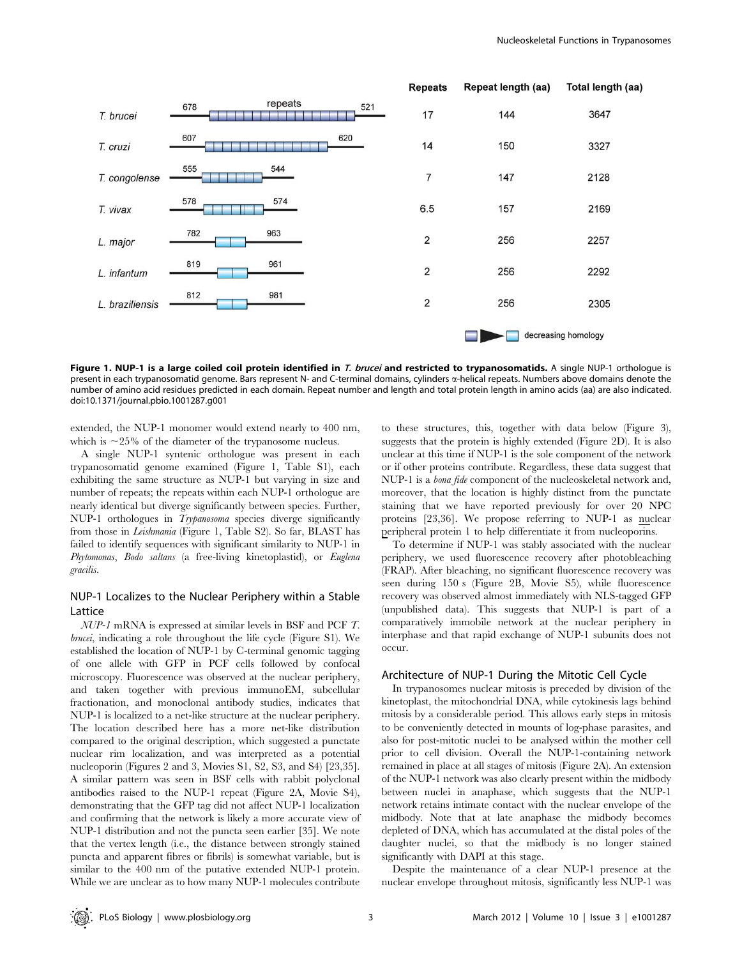

Figure 1. NUP-1 is a large coiled coil protein identified in T. brucei and restricted to trypanosomatids. A single NUP-1 orthologue is present in each trypanosomatid genome. Bars represent N- and C-terminal domains, cylinders  $\alpha$ -helical repeats. Numbers above domains denote the number of amino acid residues predicted in each domain. Repeat number and length and total protein length in amino acids (aa) are also indicated. doi:10.1371/journal.pbio.1001287.g001

extended, the NUP-1 monomer would extend nearly to 400 nm, which is  $\sim$ 25% of the diameter of the trypanosome nucleus.

A single NUP-1 syntenic orthologue was present in each trypanosomatid genome examined (Figure 1, Table S1), each exhibiting the same structure as NUP-1 but varying in size and number of repeats; the repeats within each NUP-1 orthologue are nearly identical but diverge significantly between species. Further, NUP-1 orthologues in *Trypanosoma* species diverge significantly from those in Leishmania (Figure 1, Table S2). So far, BLAST has failed to identify sequences with significant similarity to NUP-1 in Phytomonas, Bodo saltans (a free-living kinetoplastid), or Euglena gracilis.

# NUP-1 Localizes to the Nuclear Periphery within a Stable Lattice

NUP-1 mRNA is expressed at similar levels in BSF and PCF T. brucei, indicating a role throughout the life cycle (Figure S1). We established the location of NUP-1 by C-terminal genomic tagging of one allele with GFP in PCF cells followed by confocal microscopy. Fluorescence was observed at the nuclear periphery, and taken together with previous immunoEM, subcellular fractionation, and monoclonal antibody studies, indicates that NUP-1 is localized to a net-like structure at the nuclear periphery. The location described here has a more net-like distribution compared to the original description, which suggested a punctate nuclear rim localization, and was interpreted as a potential nucleoporin (Figures 2 and 3, Movies S1, S2, S3, and S4) [23,35]. A similar pattern was seen in BSF cells with rabbit polyclonal antibodies raised to the NUP-1 repeat (Figure 2A, Movie S4), demonstrating that the GFP tag did not affect NUP-1 localization and confirming that the network is likely a more accurate view of NUP-1 distribution and not the puncta seen earlier [35]. We note that the vertex length (i.e., the distance between strongly stained puncta and apparent fibres or fibrils) is somewhat variable, but is similar to the 400 nm of the putative extended NUP-1 protein. While we are unclear as to how many NUP-1 molecules contribute

to these structures, this, together with data below (Figure 3), suggests that the protein is highly extended (Figure 2D). It is also unclear at this time if NUP-1 is the sole component of the network or if other proteins contribute. Regardless, these data suggest that NUP-1 is a bona fide component of the nucleoskeletal network and, moreover, that the location is highly distinct from the punctate staining that we have reported previously for over 20 NPC proteins [23,36]. We propose referring to NUP-1 as nuclear peripheral protein 1 to help differentiate it from nucleoporins.

To determine if NUP-1 was stably associated with the nuclear periphery, we used fluorescence recovery after photobleaching (FRAP). After bleaching, no significant fluorescence recovery was seen during 150 s (Figure 2B, Movie S5), while fluorescence recovery was observed almost immediately with NLS-tagged GFP (unpublished data). This suggests that NUP-1 is part of a comparatively immobile network at the nuclear periphery in interphase and that rapid exchange of NUP-1 subunits does not occur.

#### Architecture of NUP-1 During the Mitotic Cell Cycle

In trypanosomes nuclear mitosis is preceded by division of the kinetoplast, the mitochondrial DNA, while cytokinesis lags behind mitosis by a considerable period. This allows early steps in mitosis to be conveniently detected in mounts of log-phase parasites, and also for post-mitotic nuclei to be analysed within the mother cell prior to cell division. Overall the NUP-1-containing network remained in place at all stages of mitosis (Figure 2A). An extension of the NUP-1 network was also clearly present within the midbody between nuclei in anaphase, which suggests that the NUP-1 network retains intimate contact with the nuclear envelope of the midbody. Note that at late anaphase the midbody becomes depleted of DNA, which has accumulated at the distal poles of the daughter nuclei, so that the midbody is no longer stained significantly with DAPI at this stage.

Despite the maintenance of a clear NUP-1 presence at the nuclear envelope throughout mitosis, significantly less NUP-1 was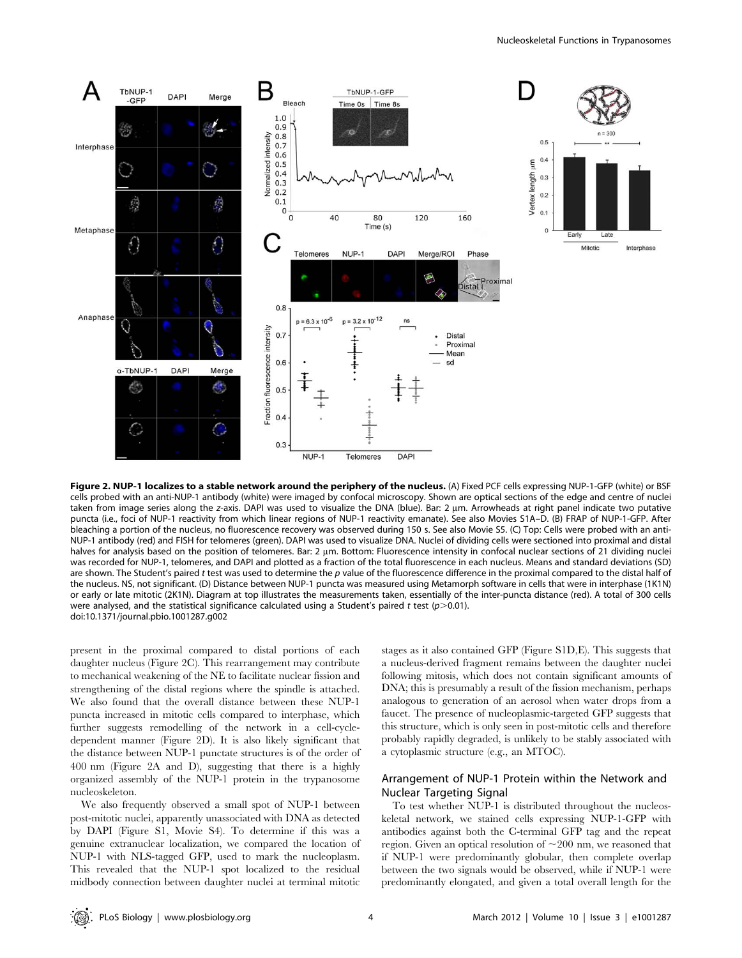

Figure 2. NUP-1 localizes to a stable network around the periphery of the nucleus. (A) Fixed PCF cells expressing NUP-1-GFP (white) or BSF cells probed with an anti-NUP-1 antibody (white) were imaged by confocal microscopy. Shown are optical sections of the edge and centre of nuclei taken from image series along the z-axis. DAPI was used to visualize the DNA (blue). Bar: 2 um. Arrowheads at right panel indicate two putative puncta (i.e., foci of NUP-1 reactivity from which linear regions of NUP-1 reactivity emanate). See also Movies S1A–D. (B) FRAP of NUP-1-GFP. After bleaching a portion of the nucleus, no fluorescence recovery was observed during 150 s. See also Movie S5. (C) Top: Cells were probed with an anti-NUP-1 antibody (red) and FISH for telomeres (green). DAPI was used to visualize DNA. Nuclei of dividing cells were sectioned into proximal and distal halves for analysis based on the position of telomeres. Bar: 2 µm. Bottom: Fluorescence intensity in confocal nuclear sections of 21 dividing nuclei was recorded for NUP-1, telomeres, and DAPI and plotted as a fraction of the total fluorescence in each nucleus. Means and standard deviations (SD) are shown. The Student's paired t test was used to determine the  $p$  value of the fluorescence difference in the proximal compared to the distal half of the nucleus. NS, not significant. (D) Distance between NUP-1 puncta was measured using Metamorph software in cells that were in interphase (1K1N) or early or late mitotic (2K1N). Diagram at top illustrates the measurements taken, essentially of the inter-puncta distance (red). A total of 300 cells were analysed, and the statistical significance calculated using a Student's paired t test ( $p$ >0.01). doi:10.1371/journal.pbio.1001287.g002

present in the proximal compared to distal portions of each daughter nucleus (Figure 2C). This rearrangement may contribute to mechanical weakening of the NE to facilitate nuclear fission and strengthening of the distal regions where the spindle is attached. We also found that the overall distance between these NUP-1 puncta increased in mitotic cells compared to interphase, which further suggests remodelling of the network in a cell-cycledependent manner (Figure 2D). It is also likely significant that the distance between NUP-1 punctate structures is of the order of 400 nm (Figure 2A and D), suggesting that there is a highly organized assembly of the NUP-1 protein in the trypanosome nucleoskeleton.

We also frequently observed a small spot of NUP-1 between post-mitotic nuclei, apparently unassociated with DNA as detected by DAPI (Figure S1, Movie S4). To determine if this was a genuine extranuclear localization, we compared the location of NUP-1 with NLS-tagged GFP, used to mark the nucleoplasm. This revealed that the NUP-1 spot localized to the residual midbody connection between daughter nuclei at terminal mitotic stages as it also contained GFP (Figure S1D,E). This suggests that a nucleus-derived fragment remains between the daughter nuclei following mitosis, which does not contain significant amounts of DNA; this is presumably a result of the fission mechanism, perhaps analogous to generation of an aerosol when water drops from a faucet. The presence of nucleoplasmic-targeted GFP suggests that this structure, which is only seen in post-mitotic cells and therefore probably rapidly degraded, is unlikely to be stably associated with a cytoplasmic structure (e.g., an MTOC).

# Arrangement of NUP-1 Protein within the Network and Nuclear Targeting Signal

To test whether NUP-1 is distributed throughout the nucleoskeletal network, we stained cells expressing NUP-1-GFP with antibodies against both the C-terminal GFP tag and the repeat region. Given an optical resolution of  $\sim$ 200 nm, we reasoned that if NUP-1 were predominantly globular, then complete overlap between the two signals would be observed, while if NUP-1 were predominantly elongated, and given a total overall length for the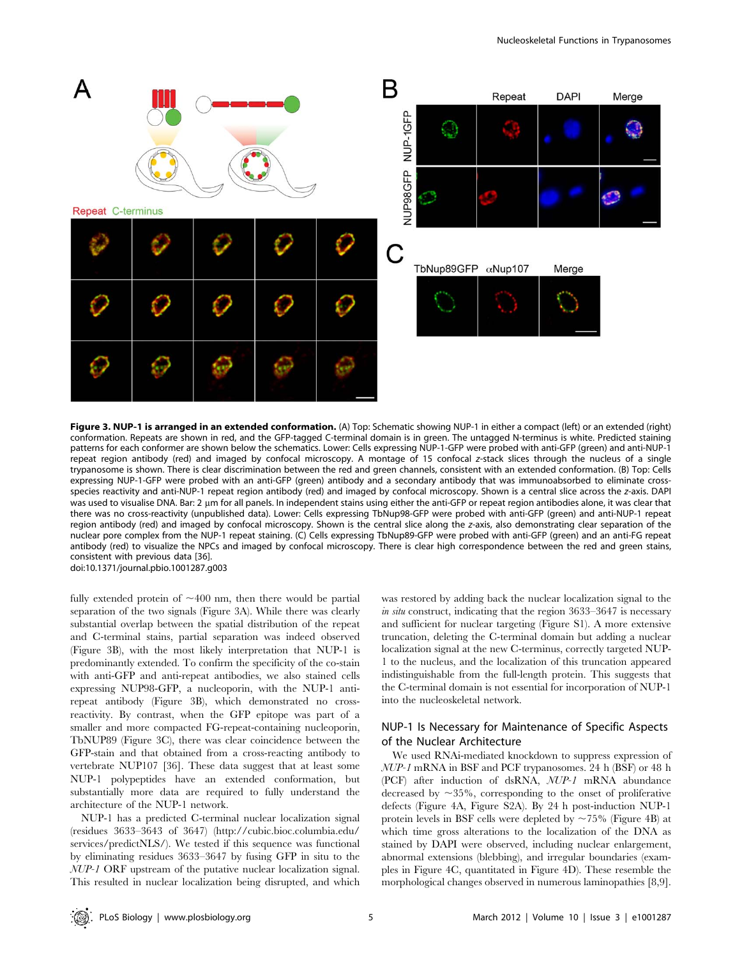

conformation. Repeats are shown in red, and the GFP-tagged C-terminal domain is in green. The untagged N-terminus is white. Predicted staining patterns for each conformer are shown below the schematics. Lower: Cells expressing NUP-1-GFP were probed with anti-GFP (green) and anti-NUP-1 repeat region antibody (red) and imaged by confocal microscopy. A montage of 15 confocal z-stack slices through the nucleus of a single trypanosome is shown. There is clear discrimination between the red and green channels, consistent with an extended conformation. (B) Top: Cells expressing NUP-1-GFP were probed with an anti-GFP (green) antibody and a secondary antibody that was immunoabsorbed to eliminate crossspecies reactivity and anti-NUP-1 repeat region antibody (red) and imaged by confocal microscopy. Shown is a central slice across the z-axis. DAPI was used to visualise DNA. Bar: 2 µm for all panels. In independent stains using either the anti-GFP or repeat region antibodies alone, it was clear that there was no cross-reactivity (unpublished data). Lower: Cells expressing TbNup98-GFP were probed with anti-GFP (green) and anti-NUP-1 repeat region antibody (red) and imaged by confocal microscopy. Shown is the central slice along the z-axis, also demonstrating clear separation of the nuclear pore complex from the NUP-1 repeat staining. (C) Cells expressing TbNup89-GFP were probed with anti-GFP (green) and an anti-FG repeat antibody (red) to visualize the NPCs and imaged by confocal microscopy. There is clear high correspondence between the red and green stains, consistent with previous data [36]. doi:10.1371/journal.pbio.1001287.g003

Figure 3. NUP-1 is arranged in an extended conformation. (A) Top: Schematic showing NUP-1 in either a compact (left) or an extended (right)

fully extended protein of  $\sim$ 400 nm, then there would be partial separation of the two signals (Figure 3A). While there was clearly substantial overlap between the spatial distribution of the repeat and C-terminal stains, partial separation was indeed observed (Figure 3B), with the most likely interpretation that NUP-1 is predominantly extended. To confirm the specificity of the co-stain with anti-GFP and anti-repeat antibodies, we also stained cells expressing NUP98-GFP, a nucleoporin, with the NUP-1 antirepeat antibody (Figure 3B), which demonstrated no crossreactivity. By contrast, when the GFP epitope was part of a smaller and more compacted FG-repeat-containing nucleoporin, TbNUP89 (Figure 3C), there was clear coincidence between the GFP-stain and that obtained from a cross-reacting antibody to vertebrate NUP107 [36]. These data suggest that at least some NUP-1 polypeptides have an extended conformation, but substantially more data are required to fully understand the architecture of the NUP-1 network.

NUP-1 has a predicted C-terminal nuclear localization signal (residues 3633–3643 of 3647) (http://cubic.bioc.columbia.edu/ services/predictNLS/). We tested if this sequence was functional by eliminating residues 3633–3647 by fusing GFP in situ to the NUP-1 ORF upstream of the putative nuclear localization signal. This resulted in nuclear localization being disrupted, and which

was restored by adding back the nuclear localization signal to the in situ construct, indicating that the region  $3633-3647$  is necessary and sufficient for nuclear targeting (Figure S1). A more extensive truncation, deleting the C-terminal domain but adding a nuclear localization signal at the new C-terminus, correctly targeted NUP-1 to the nucleus, and the localization of this truncation appeared indistinguishable from the full-length protein. This suggests that the C-terminal domain is not essential for incorporation of NUP-1 into the nucleoskeletal network.

# NUP-1 Is Necessary for Maintenance of Specific Aspects of the Nuclear Architecture

We used RNAi-mediated knockdown to suppress expression of NUP-1 mRNA in BSF and PCF trypanosomes. 24 h (BSF) or 48 h (PCF) after induction of dsRNA, NUP-1 mRNA abundance decreased by  $\sim$ 35%, corresponding to the onset of proliferative defects (Figure 4A, Figure S2A). By 24 h post-induction NUP-1 protein levels in BSF cells were depleted by  $\sim 75\%$  (Figure 4B) at which time gross alterations to the localization of the DNA as stained by DAPI were observed, including nuclear enlargement, abnormal extensions (blebbing), and irregular boundaries (examples in Figure 4C, quantitated in Figure 4D). These resemble the morphological changes observed in numerous laminopathies [8,9].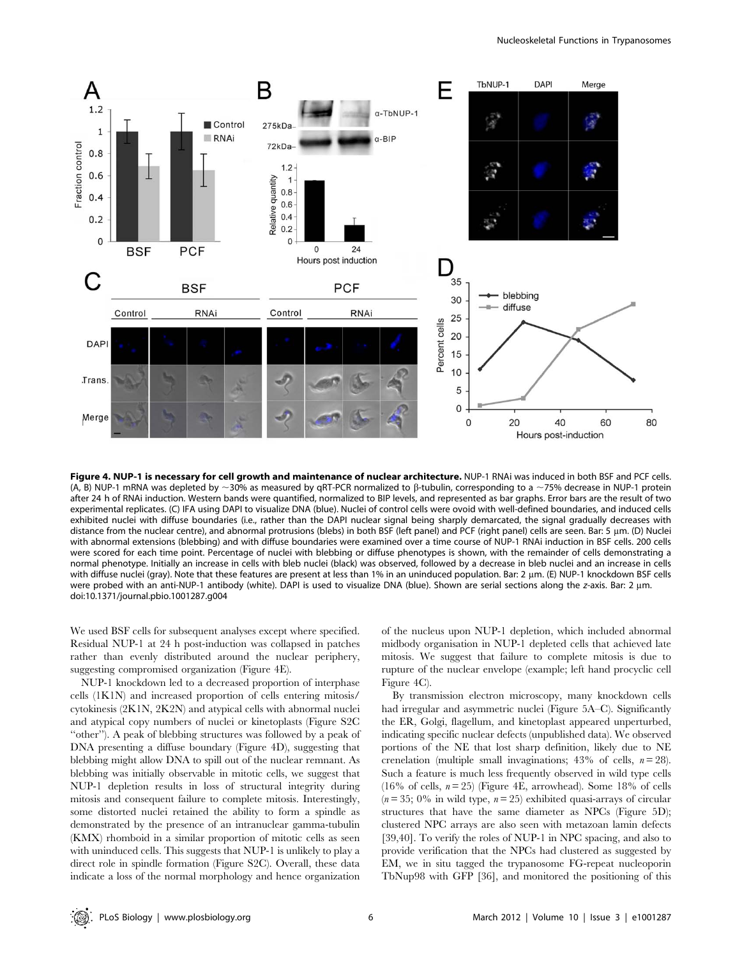

Figure 4. NUP-1 is necessary for cell growth and maintenance of nuclear architecture. NUP-1 RNAi was induced in both BSF and PCF cells. (A, B) NUP-1 mRNA was depleted by  $\sim$ 30% as measured by qRT-PCR normalized to  $\beta$ -tubulin, corresponding to a  $\sim$ 75% decrease in NUP-1 protein after 24 h of RNAi induction. Western bands were quantified, normalized to BIP levels, and represented as bar graphs. Error bars are the result of two experimental replicates. (C) IFA using DAPI to visualize DNA (blue). Nuclei of control cells were ovoid with well-defined boundaries, and induced cells exhibited nuclei with diffuse boundaries (i.e., rather than the DAPI nuclear signal being sharply demarcated, the signal gradually decreases with distance from the nuclear centre), and abnormal protrusions (blebs) in both BSF (left panel) and PCF (right panel) cells are seen. Bar: 5 µm. (D) Nuclei with abnormal extensions (blebbing) and with diffuse boundaries were examined over a time course of NUP-1 RNAi induction in BSF cells. 200 cells were scored for each time point. Percentage of nuclei with blebbing or diffuse phenotypes is shown, with the remainder of cells demonstrating a normal phenotype. Initially an increase in cells with bleb nuclei (black) was observed, followed by a decrease in bleb nuclei and an increase in cells with diffuse nuclei (gray). Note that these features are present at less than 1% in an uninduced population. Bar: 2 µm. (E) NUP-1 knockdown BSF cells were probed with an anti-NUP-1 antibody (white). DAPI is used to visualize DNA (blue). Shown are serial sections along the z-axis. Bar: 2 um. doi:10.1371/journal.pbio.1001287.g004

We used BSF cells for subsequent analyses except where specified. Residual NUP-1 at 24 h post-induction was collapsed in patches rather than evenly distributed around the nuclear periphery, suggesting compromised organization (Figure 4E).

NUP-1 knockdown led to a decreased proportion of interphase cells (1K1N) and increased proportion of cells entering mitosis/ cytokinesis (2K1N, 2K2N) and atypical cells with abnormal nuclei and atypical copy numbers of nuclei or kinetoplasts (Figure S2C ''other''). A peak of blebbing structures was followed by a peak of DNA presenting a diffuse boundary (Figure 4D), suggesting that blebbing might allow DNA to spill out of the nuclear remnant. As blebbing was initially observable in mitotic cells, we suggest that NUP-1 depletion results in loss of structural integrity during mitosis and consequent failure to complete mitosis. Interestingly, some distorted nuclei retained the ability to form a spindle as demonstrated by the presence of an intranuclear gamma-tubulin (KMX) rhomboid in a similar proportion of mitotic cells as seen with uninduced cells. This suggests that NUP-1 is unlikely to play a direct role in spindle formation (Figure S2C). Overall, these data indicate a loss of the normal morphology and hence organization of the nucleus upon NUP-1 depletion, which included abnormal midbody organisation in NUP-1 depleted cells that achieved late mitosis. We suggest that failure to complete mitosis is due to rupture of the nuclear envelope (example; left hand procyclic cell Figure 4C).

By transmission electron microscopy, many knockdown cells had irregular and asymmetric nuclei (Figure 5A–C). Significantly the ER, Golgi, flagellum, and kinetoplast appeared unperturbed, indicating specific nuclear defects (unpublished data). We observed portions of the NE that lost sharp definition, likely due to NE crenelation (multiple small invaginations;  $43\%$  of cells,  $n = 28$ ). Such a feature is much less frequently observed in wild type cells (16% of cells,  $n = 25$ ) (Figure 4E, arrowhead). Some 18% of cells  $(n = 35; 0\%$  in wild type,  $n = 25$ ) exhibited quasi-arrays of circular structures that have the same diameter as NPCs (Figure 5D); clustered NPC arrays are also seen with metazoan lamin defects [39,40]. To verify the roles of NUP-1 in NPC spacing, and also to provide verification that the NPCs had clustered as suggested by EM, we in situ tagged the trypanosome FG-repeat nucleoporin TbNup98 with GFP [36], and monitored the positioning of this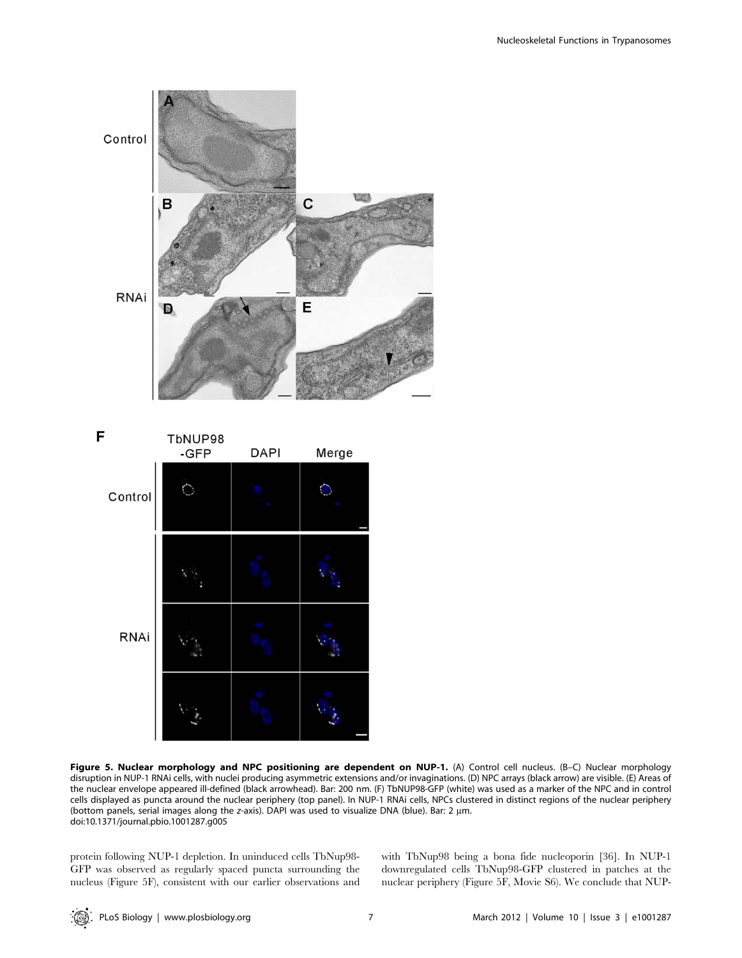



Figure 5. Nuclear morphology and NPC positioning are dependent on NUP-1. (A) Control cell nucleus. (B-C) Nuclear morphology disruption in NUP-1 RNAi cells, with nuclei producing asymmetric extensions and/or invaginations. (D) NPC arrays (black arrow) are visible. (E) Areas of the nuclear envelope appeared ill-defined (black arrowhead). Bar: 200 nm. (F) TbNUP98-GFP (white) was used as a marker of the NPC and in control cells displayed as puncta around the nuclear periphery (top panel). In NUP-1 RNAi cells, NPCs clustered in distinct regions of the nuclear periphery (bottom panels, serial images along the z-axis). DAPI was used to visualize DNA (blue). Bar: 2  $\mu$ m. doi:10.1371/journal.pbio.1001287.g005

protein following NUP-1 depletion. In uninduced cells TbNup98- GFP was observed as regularly spaced puncta surrounding the nucleus (Figure 5F), consistent with our earlier observations and with TbNup98 being a bona fide nucleoporin [36]. In NUP-1 downregulated cells TbNup98-GFP clustered in patches at the nuclear periphery (Figure 5F, Movie S6). We conclude that NUP-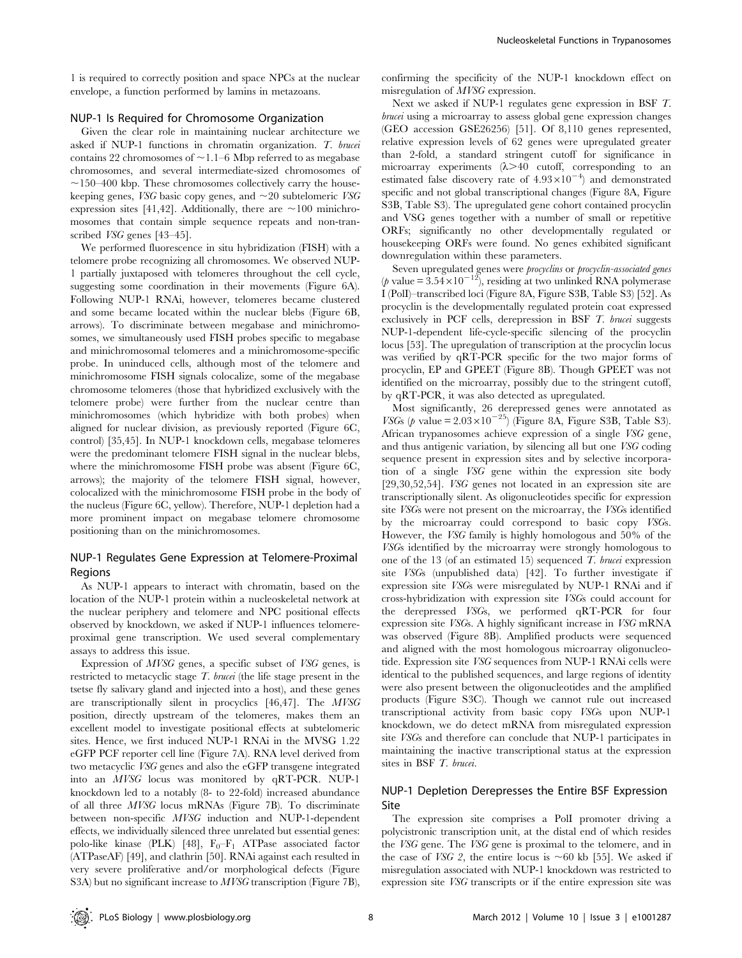1 is required to correctly position and space NPCs at the nuclear envelope, a function performed by lamins in metazoans.

### NUP-1 Is Required for Chromosome Organization

Given the clear role in maintaining nuclear architecture we asked if NUP-1 functions in chromatin organization. T. brucei contains 22 chromosomes of  $\sim$  1.1–6 Mbp referred to as megabase chromosomes, and several intermediate-sized chromosomes of  $\sim$ 150–400 kbp. These chromosomes collectively carry the housekeeping genes, *VSG* basic copy genes, and  $\sim$ 20 subtelomeric *VSG* expression sites [41,42]. Additionally, there are  $\sim$ 100 minichromosomes that contain simple sequence repeats and non-transcribed VSG genes [43–45].

We performed fluorescence in situ hybridization (FISH) with a telomere probe recognizing all chromosomes. We observed NUP-1 partially juxtaposed with telomeres throughout the cell cycle, suggesting some coordination in their movements (Figure 6A). Following NUP-1 RNAi, however, telomeres became clustered and some became located within the nuclear blebs (Figure 6B, arrows). To discriminate between megabase and minichromosomes, we simultaneously used FISH probes specific to megabase and minichromosomal telomeres and a minichromosome-specific probe. In uninduced cells, although most of the telomere and minichromosome FISH signals colocalize, some of the megabase chromosome telomeres (those that hybridized exclusively with the telomere probe) were further from the nuclear centre than minichromosomes (which hybridize with both probes) when aligned for nuclear division, as previously reported (Figure 6C, control) [35,45]. In NUP-1 knockdown cells, megabase telomeres were the predominant telomere FISH signal in the nuclear blebs, where the minichromosome FISH probe was absent (Figure 6C, arrows); the majority of the telomere FISH signal, however, colocalized with the minichromosome FISH probe in the body of the nucleus (Figure 6C, yellow). Therefore, NUP-1 depletion had a more prominent impact on megabase telomere chromosome positioning than on the minichromosomes.

# NUP-1 Regulates Gene Expression at Telomere-Proximal Regions

As NUP-1 appears to interact with chromatin, based on the location of the NUP-1 protein within a nucleoskeletal network at the nuclear periphery and telomere and NPC positional effects observed by knockdown, we asked if NUP-1 influences telomereproximal gene transcription. We used several complementary assays to address this issue.

Expression of MVSG genes, a specific subset of VSG genes, is restricted to metacyclic stage  $T$ , *brucei* (the life stage present in the tsetse fly salivary gland and injected into a host), and these genes are transcriptionally silent in procyclics [46,47]. The MVSG position, directly upstream of the telomeres, makes them an excellent model to investigate positional effects at subtelomeric sites. Hence, we first induced NUP-1 RNAi in the MVSG 1.22 eGFP PCF reporter cell line (Figure 7A). RNA level derived from two metacyclic VSG genes and also the eGFP transgene integrated into an MVSG locus was monitored by qRT-PCR. NUP-1 knockdown led to a notably (8- to 22-fold) increased abundance of all three MVSG locus mRNAs (Figure 7B). To discriminate between non-specific MVSG induction and NUP-1-dependent effects, we individually silenced three unrelated but essential genes: polo-like kinase (PLK) [48],  $F_0-F_1$  ATPase associated factor (ATPaseAF) [49], and clathrin [50]. RNAi against each resulted in very severe proliferative and/or morphological defects (Figure S3A) but no significant increase to MVSG transcription (Figure 7B),

confirming the specificity of the NUP-1 knockdown effect on misregulation of MVSG expression.

Next we asked if NUP-1 regulates gene expression in BSF T. brucei using a microarray to assess global gene expression changes (GEO accession GSE26256) [51]. Of 8,110 genes represented, relative expression levels of 62 genes were upregulated greater than 2-fold, a standard stringent cutoff for significance in microarray experiments  $(\lambda > 40$  cutoff, corresponding to an estimated false discovery rate of  $4.93 \times 10^{-4}$ ) and demonstrated specific and not global transcriptional changes (Figure 8A, Figure S3B, Table S3). The upregulated gene cohort contained procyclin and VSG genes together with a number of small or repetitive ORFs; significantly no other developmentally regulated or housekeeping ORFs were found. No genes exhibited significant downregulation within these parameters.

Seven upregulated genes were *procyclins* or *procyclin-associated genes* (*p* value =  $3.54 \times 10^{-12}$ ), residing at two unlinked RNA polymerase I (PolI)–transcribed loci (Figure 8A, Figure S3B, Table S3) [52]. As procyclin is the developmentally regulated protein coat expressed exclusively in PCF cells, derepression in BSF T. brucei suggests NUP-1-dependent life-cycle-specific silencing of the procyclin locus [53]. The upregulation of transcription at the procyclin locus was verified by qRT-PCR specific for the two major forms of procyclin, EP and GPEET (Figure 8B). Though GPEET was not identified on the microarray, possibly due to the stringent cutoff, by qRT-PCR, it was also detected as upregulated.

Most significantly, 26 derepressed genes were annotated as VSGs (p value =  $2.03 \times 10^{-25}$ ) (Figure 8A, Figure S3B, Table S3). African trypanosomes achieve expression of a single VSG gene, and thus antigenic variation, by silencing all but one VSG coding sequence present in expression sites and by selective incorporation of a single VSG gene within the expression site body [29,30,52,54]. VSG genes not located in an expression site are transcriptionally silent. As oligonucleotides specific for expression site VSGs were not present on the microarray, the VSGs identified by the microarray could correspond to basic copy VSGs. However, the VSG family is highly homologous and 50% of the VSGs identified by the microarray were strongly homologous to one of the 13 (of an estimated 15) sequenced  $T$ . brucei expression site VSGs (unpublished data) [42]. To further investigate if expression site VSGs were misregulated by NUP-1 RNAi and if cross-hybridization with expression site VSGs could account for the derepressed VSGs, we performed qRT-PCR for four expression site VSGs. A highly significant increase in VSG mRNA was observed (Figure 8B). Amplified products were sequenced and aligned with the most homologous microarray oligonucleotide. Expression site VSG sequences from NUP-1 RNAi cells were identical to the published sequences, and large regions of identity were also present between the oligonucleotides and the amplified products (Figure S3C). Though we cannot rule out increased transcriptional activity from basic copy VSGs upon NUP-1 knockdown, we do detect mRNA from misregulated expression site VSGs and therefore can conclude that NUP-1 participates in maintaining the inactive transcriptional status at the expression sites in BSF T. brucei.

# NUP-1 Depletion Derepresses the Entire BSF Expression Site

The expression site comprises a PolI promoter driving a polycistronic transcription unit, at the distal end of which resides the VSG gene. The VSG gene is proximal to the telomere, and in the case of *VSG* 2, the entire locus is  $\sim$  60 kb [55]. We asked if misregulation associated with NUP-1 knockdown was restricted to expression site VSG transcripts or if the entire expression site was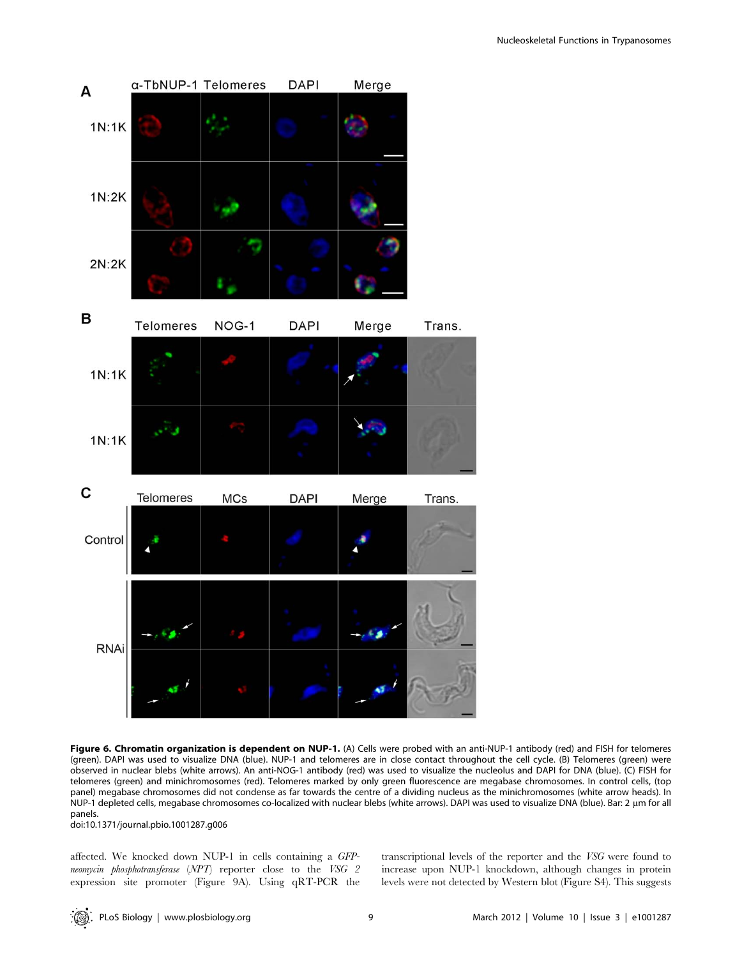

Figure 6. Chromatin organization is dependent on NUP-1. (A) Cells were probed with an anti-NUP-1 antibody (red) and FISH for telomeres (green). DAPI was used to visualize DNA (blue). NUP-1 and telomeres are in close contact throughout the cell cycle. (B) Telomeres (green) were observed in nuclear blebs (white arrows). An anti-NOG-1 antibody (red) was used to visualize the nucleolus and DAPI for DNA (blue). (C) FISH for telomeres (green) and minichromosomes (red). Telomeres marked by only green fluorescence are megabase chromosomes. In control cells, (top panel) megabase chromosomes did not condense as far towards the centre of a dividing nucleus as the minichromosomes (white arrow heads). In NUP-1 depleted cells, megabase chromosomes co-localized with nuclear blebs (white arrows). DAPI was used to visualize DNA (blue). Bar: 2 µm for all panels.

doi:10.1371/journal.pbio.1001287.g006

affected. We knocked down NUP-1 in cells containing a GFPneomycin phosphotransferase (NPT) reporter close to the VSG 2 expression site promoter (Figure 9A). Using qRT-PCR the transcriptional levels of the reporter and the VSG were found to increase upon NUP-1 knockdown, although changes in protein levels were not detected by Western blot (Figure S4). This suggests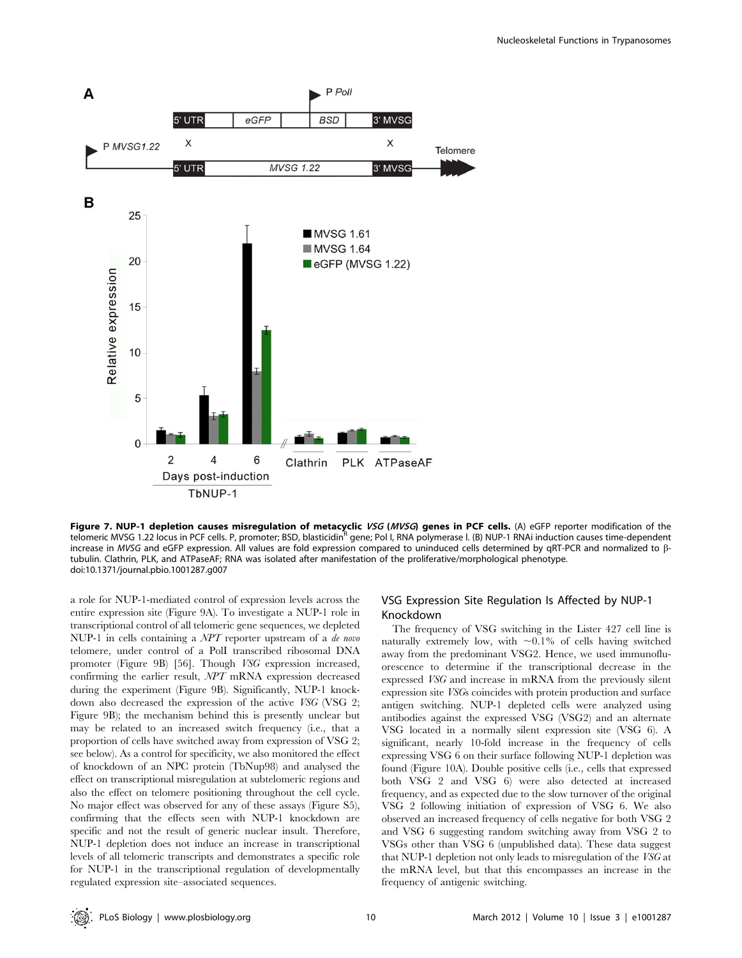

Figure 7. NUP-1 depletion causes misregulation of metacyclic VSG (MVSG) genes in PCF cells. (A) eGFP reporter modification of the telomeric MVSG 1.22 locus in PCF cells. P, promoter; BSD, blasticidin<sup>R</sup> gene; Pol I, RNA polymerase I. (B) NUP-1 RNAi induction causes time-dependent increase in MVSG and eGFP expression. All values are fold expression compared to uninduced cells determined by qRT-PCR and normalized to  $\beta$ tubulin. Clathrin, PLK, and ATPaseAF; RNA was isolated after manifestation of the proliferative/morphological phenotype. doi:10.1371/journal.pbio.1001287.g007

a role for NUP-1-mediated control of expression levels across the entire expression site (Figure 9A). To investigate a NUP-1 role in transcriptional control of all telomeric gene sequences, we depleted NUP-1 in cells containing a NPT reporter upstream of a de novo telomere, under control of a PolI transcribed ribosomal DNA promoter (Figure 9B) [56]. Though VSG expression increased, confirming the earlier result, NPT mRNA expression decreased during the experiment (Figure 9B). Significantly, NUP-1 knockdown also decreased the expression of the active VSG (VSG 2; Figure 9B); the mechanism behind this is presently unclear but may be related to an increased switch frequency (i.e., that a proportion of cells have switched away from expression of VSG 2; see below). As a control for specificity, we also monitored the effect of knockdown of an NPC protein (TbNup98) and analysed the effect on transcriptional misregulation at subtelomeric regions and also the effect on telomere positioning throughout the cell cycle. No major effect was observed for any of these assays (Figure S5), confirming that the effects seen with NUP-1 knockdown are specific and not the result of generic nuclear insult. Therefore, NUP-1 depletion does not induce an increase in transcriptional levels of all telomeric transcripts and demonstrates a specific role for NUP-1 in the transcriptional regulation of developmentally regulated expression site–associated sequences.

# VSG Expression Site Regulation Is Affected by NUP-1 Knockdown

The frequency of VSG switching in the Lister 427 cell line is naturally extremely low, with  $\sim 0.1\%$  of cells having switched away from the predominant VSG2. Hence, we used immunofluorescence to determine if the transcriptional decrease in the expressed VSG and increase in mRNA from the previously silent expression site VSGs coincides with protein production and surface antigen switching. NUP-1 depleted cells were analyzed using antibodies against the expressed VSG (VSG2) and an alternate VSG located in a normally silent expression site (VSG 6). A significant, nearly 10-fold increase in the frequency of cells expressing VSG 6 on their surface following NUP-1 depletion was found (Figure 10A). Double positive cells (i.e., cells that expressed both VSG 2 and VSG 6) were also detected at increased frequency, and as expected due to the slow turnover of the original VSG 2 following initiation of expression of VSG 6. We also observed an increased frequency of cells negative for both VSG 2 and VSG 6 suggesting random switching away from VSG 2 to VSGs other than VSG 6 (unpublished data). These data suggest that NUP-1 depletion not only leads to misregulation of the VSG at the mRNA level, but that this encompasses an increase in the frequency of antigenic switching.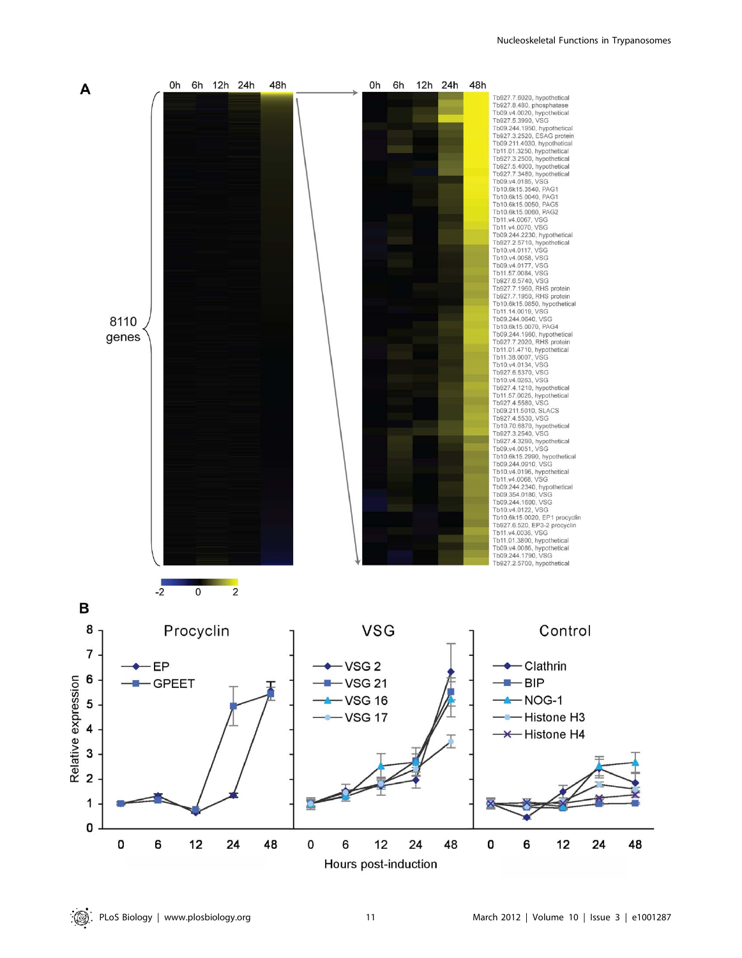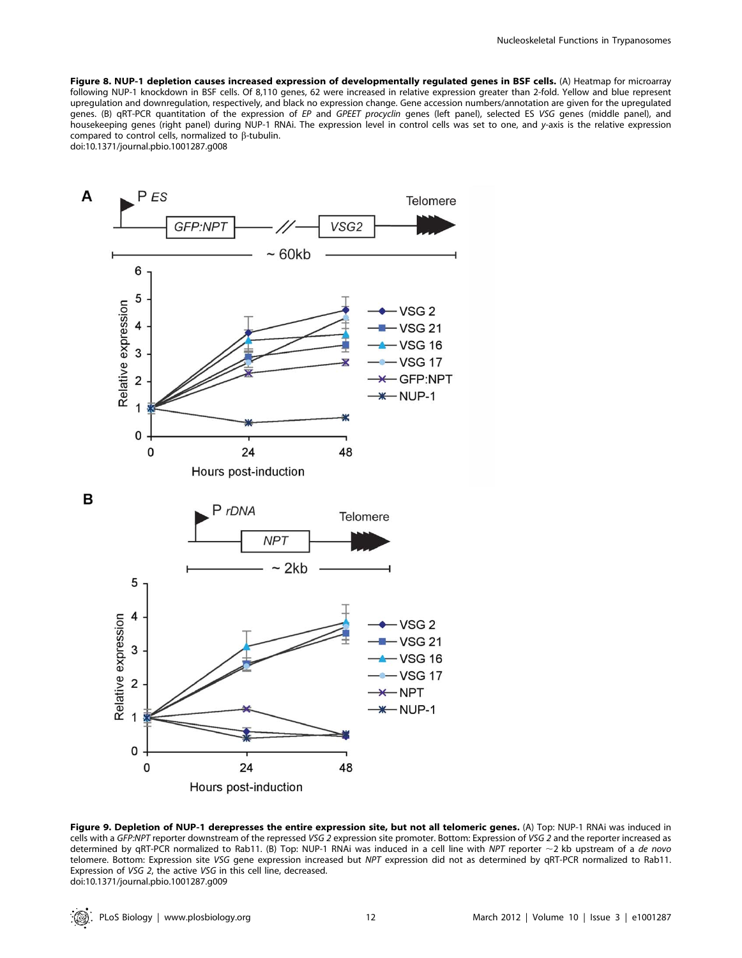Figure 8. NUP-1 depletion causes increased expression of developmentally regulated genes in BSF cells. (A) Heatmap for microarray following NUP-1 knockdown in BSF cells. Of 8,110 genes, 62 were increased in relative expression greater than 2-fold. Yellow and blue represent upregulation and downregulation, respectively, and black no expression change. Gene accession numbers/annotation are given for the upregulated genes. (B) qRT-PCR quantitation of the expression of EP and GPEET procyclin genes (left panel), selected ES VSG genes (middle panel), and housekeeping genes (right panel) during NUP-1 RNAi. The expression level in control cells was set to one, and y-axis is the relative expression compared to control cells, normalized to  $\beta$ -tubulin. doi:10.1371/journal.pbio.1001287.g008



Figure 9. Depletion of NUP-1 derepresses the entire expression site, but not all telomeric genes. (A) Top: NUP-1 RNAi was induced in cells with a GFP:NPT reporter downstream of the repressed VSG 2 expression site promoter. Bottom: Expression of VSG 2 and the reporter increased as determined by qRT-PCR normalized to Rab11. (B) Top: NUP-1 RNAi was induced in a cell line with NPT reporter  $\sim$  2 kb upstream of a de novo telomere. Bottom: Expression site VSG gene expression increased but NPT expression did not as determined by qRT-PCR normalized to Rab11. Expression of VSG 2, the active VSG in this cell line, decreased. doi:10.1371/journal.pbio.1001287.g009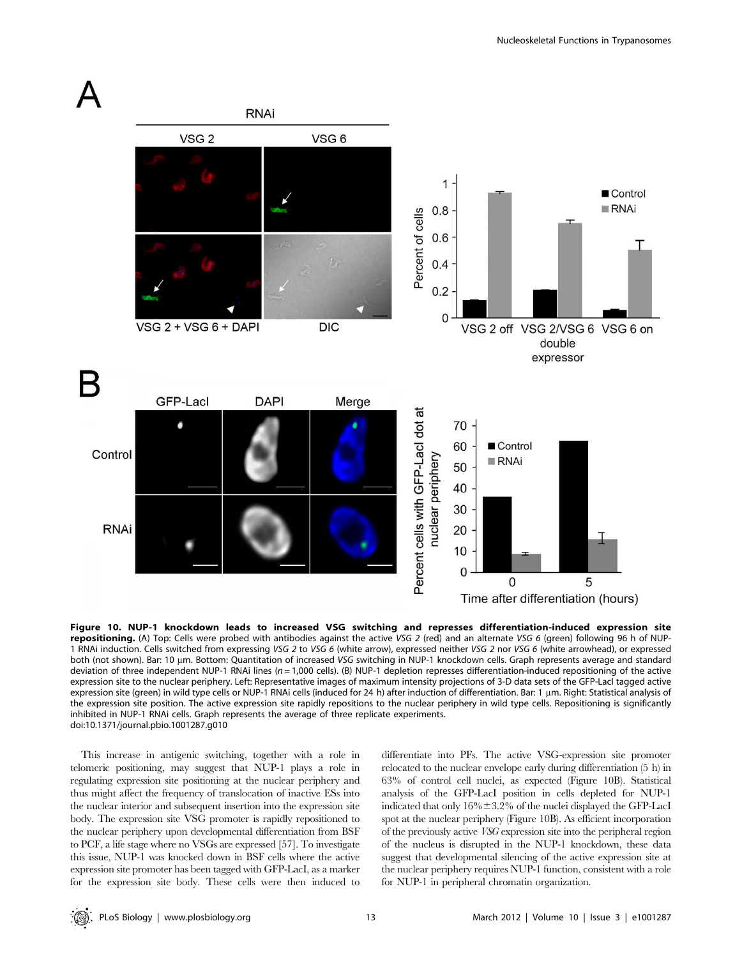

Figure 10. NUP-1 knockdown leads to increased VSG switching and represses differentiation-induced expression site repositioning. (A) Top: Cells were probed with antibodies against the active VSG 2 (red) and an alternate VSG 6 (green) following 96 h of NUP-1 RNAi induction. Cells switched from expressing VSG 2 to VSG 6 (white arrow), expressed neither VSG 2 nor VSG 6 (white arrowhead), or expressed both (not shown). Bar: 10 µm. Bottom: Quantitation of increased VSG switching in NUP-1 knockdown cells. Graph represents average and standard deviation of three independent NUP-1 RNAi lines ( $n = 1,000$  cells). (B) NUP-1 depletion represses differentiation-induced repositioning of the active expression site to the nuclear periphery. Left: Representative images of maximum intensity projections of 3-D data sets of the GFP-LacI tagged active expression site (green) in wild type cells or NUP-1 RNAi cells (induced for 24 h) after induction of differentiation. Bar: 1 µm. Right: Statistical analysis of the expression site position. The active expression site rapidly repositions to the nuclear periphery in wild type cells. Repositioning is significantly inhibited in NUP-1 RNAi cells. Graph represents the average of three replicate experiments. doi:10.1371/journal.pbio.1001287.g010

This increase in antigenic switching, together with a role in telomeric positioning, may suggest that NUP-1 plays a role in regulating expression site positioning at the nuclear periphery and thus might affect the frequency of translocation of inactive ESs into the nuclear interior and subsequent insertion into the expression site body. The expression site VSG promoter is rapidly repositioned to the nuclear periphery upon developmental differentiation from BSF to PCF, a life stage where no VSGs are expressed [57]. To investigate this issue, NUP-1 was knocked down in BSF cells where the active expression site promoter has been tagged with GFP-LacI, as a marker for the expression site body. These cells were then induced to differentiate into PFs. The active VSG-expression site promoter relocated to the nuclear envelope early during differentiation (5 h) in 63% of control cell nuclei, as expected (Figure 10B). Statistical analysis of the GFP-LacI position in cells depleted for NUP-1 indicated that only  $16\% \pm 3.2\%$  of the nuclei displayed the GFP-LacI spot at the nuclear periphery (Figure 10B). As efficient incorporation of the previously active VSG expression site into the peripheral region of the nucleus is disrupted in the NUP-1 knockdown, these data suggest that developmental silencing of the active expression site at the nuclear periphery requires NUP-1 function, consistent with a role for NUP-1 in peripheral chromatin organization.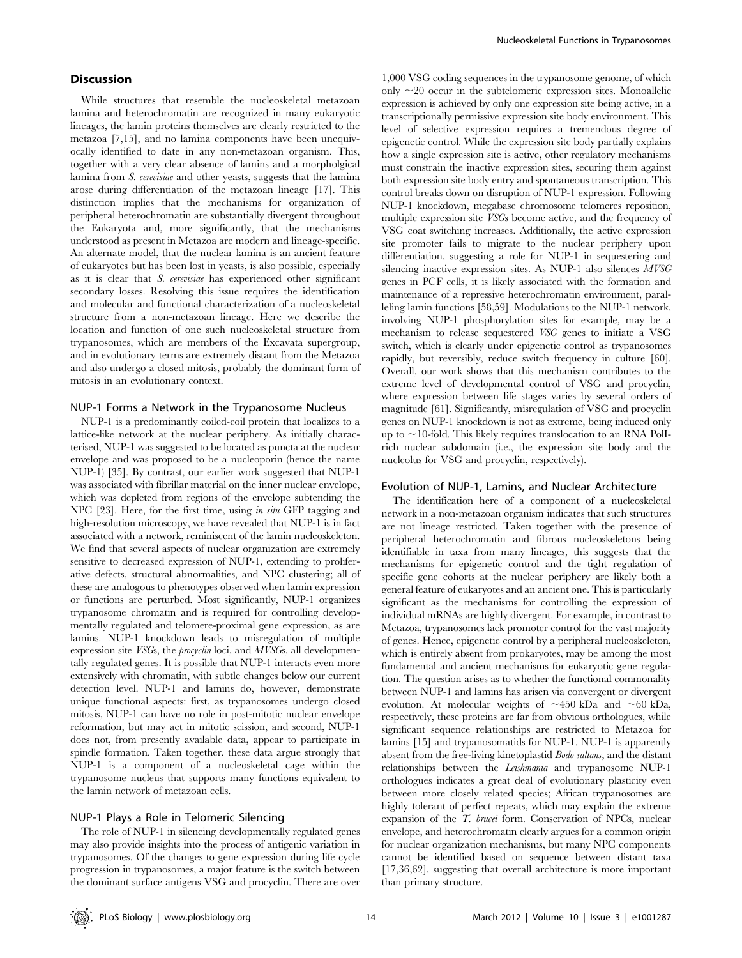# **Discussion**

While structures that resemble the nucleoskeletal metazoan lamina and heterochromatin are recognized in many eukaryotic lineages, the lamin proteins themselves are clearly restricted to the metazoa [7,15], and no lamina components have been unequivocally identified to date in any non-metazoan organism. This, together with a very clear absence of lamins and a morpholgical lamina from S. cerevisiae and other yeasts, suggests that the lamina arose during differentiation of the metazoan lineage [17]. This distinction implies that the mechanisms for organization of peripheral heterochromatin are substantially divergent throughout the Eukaryota and, more significantly, that the mechanisms understood as present in Metazoa are modern and lineage-specific. An alternate model, that the nuclear lamina is an ancient feature of eukaryotes but has been lost in yeasts, is also possible, especially as it is clear that S. cerevisiae has experienced other significant secondary losses. Resolving this issue requires the identification and molecular and functional characterization of a nucleoskeletal structure from a non-metazoan lineage. Here we describe the location and function of one such nucleoskeletal structure from trypanosomes, which are members of the Excavata supergroup, and in evolutionary terms are extremely distant from the Metazoa and also undergo a closed mitosis, probably the dominant form of mitosis in an evolutionary context.

#### NUP-1 Forms a Network in the Trypanosome Nucleus

NUP-1 is a predominantly coiled-coil protein that localizes to a lattice-like network at the nuclear periphery. As initially characterised, NUP-1 was suggested to be located as puncta at the nuclear envelope and was proposed to be a nucleoporin (hence the name NUP-1) [35]. By contrast, our earlier work suggested that NUP-1 was associated with fibrillar material on the inner nuclear envelope, which was depleted from regions of the envelope subtending the NPC [23]. Here, for the first time, using in situ GFP tagging and high-resolution microscopy, we have revealed that NUP-1 is in fact associated with a network, reminiscent of the lamin nucleoskeleton. We find that several aspects of nuclear organization are extremely sensitive to decreased expression of NUP-1, extending to proliferative defects, structural abnormalities, and NPC clustering; all of these are analogous to phenotypes observed when lamin expression or functions are perturbed. Most significantly, NUP-1 organizes trypanosome chromatin and is required for controlling developmentally regulated and telomere-proximal gene expression, as are lamins. NUP-1 knockdown leads to misregulation of multiple expression site VSGs, the procyclin loci, and MVSGs, all developmentally regulated genes. It is possible that NUP-1 interacts even more extensively with chromatin, with subtle changes below our current detection level. NUP-1 and lamins do, however, demonstrate unique functional aspects: first, as trypanosomes undergo closed mitosis, NUP-1 can have no role in post-mitotic nuclear envelope reformation, but may act in mitotic scission, and second, NUP-1 does not, from presently available data, appear to participate in spindle formation. Taken together, these data argue strongly that NUP-1 is a component of a nucleoskeletal cage within the trypanosome nucleus that supports many functions equivalent to the lamin network of metazoan cells.

# NUP-1 Plays a Role in Telomeric Silencing

The role of NUP-1 in silencing developmentally regulated genes may also provide insights into the process of antigenic variation in trypanosomes. Of the changes to gene expression during life cycle progression in trypanosomes, a major feature is the switch between the dominant surface antigens VSG and procyclin. There are over

1,000 VSG coding sequences in the trypanosome genome, of which only  $\sim$ 20 occur in the subtelomeric expression sites. Monoallelic expression is achieved by only one expression site being active, in a transcriptionally permissive expression site body environment. This level of selective expression requires a tremendous degree of epigenetic control. While the expression site body partially explains how a single expression site is active, other regulatory mechanisms must constrain the inactive expression sites, securing them against both expression site body entry and spontaneous transcription. This control breaks down on disruption of NUP-1 expression. Following NUP-1 knockdown, megabase chromosome telomeres reposition, multiple expression site VSGs become active, and the frequency of VSG coat switching increases. Additionally, the active expression site promoter fails to migrate to the nuclear periphery upon differentiation, suggesting a role for NUP-1 in sequestering and silencing inactive expression sites. As NUP-1 also silences MVSG genes in PCF cells, it is likely associated with the formation and maintenance of a repressive heterochromatin environment, paralleling lamin functions [58,59]. Modulations to the NUP-1 network, involving NUP-1 phosphorylation sites for example, may be a mechanism to release sequestered VSG genes to initiate a VSG switch, which is clearly under epigenetic control as trypanosomes rapidly, but reversibly, reduce switch frequency in culture [60]. Overall, our work shows that this mechanism contributes to the extreme level of developmental control of VSG and procyclin, where expression between life stages varies by several orders of magnitude [61]. Significantly, misregulation of VSG and procyclin genes on NUP-1 knockdown is not as extreme, being induced only up to  $\sim$ 10-fold. This likely requires translocation to an RNA PolIrich nuclear subdomain (i.e., the expression site body and the nucleolus for VSG and procyclin, respectively).

#### Evolution of NUP-1, Lamins, and Nuclear Architecture

The identification here of a component of a nucleoskeletal network in a non-metazoan organism indicates that such structures are not lineage restricted. Taken together with the presence of peripheral heterochromatin and fibrous nucleoskeletons being identifiable in taxa from many lineages, this suggests that the mechanisms for epigenetic control and the tight regulation of specific gene cohorts at the nuclear periphery are likely both a general feature of eukaryotes and an ancient one. This is particularly significant as the mechanisms for controlling the expression of individual mRNAs are highly divergent. For example, in contrast to Metazoa, trypanosomes lack promoter control for the vast majority of genes. Hence, epigenetic control by a peripheral nucleoskeleton, which is entirely absent from prokaryotes, may be among the most fundamental and ancient mechanisms for eukaryotic gene regulation. The question arises as to whether the functional commonality between NUP-1 and lamins has arisen via convergent or divergent evolution. At molecular weights of  $\sim$ 450 kDa and  $\sim$ 60 kDa, respectively, these proteins are far from obvious orthologues, while significant sequence relationships are restricted to Metazoa for lamins [15] and trypanosomatids for NUP-1. NUP-1 is apparently absent from the free-living kinetoplastid Bodo saltans, and the distant relationships between the Leishmania and trypanosome NUP-1 orthologues indicates a great deal of evolutionary plasticity even between more closely related species; African trypanosomes are highly tolerant of perfect repeats, which may explain the extreme expansion of the T. brucei form. Conservation of NPCs, nuclear envelope, and heterochromatin clearly argues for a common origin for nuclear organization mechanisms, but many NPC components cannot be identified based on sequence between distant taxa [17,36,62], suggesting that overall architecture is more important than primary structure.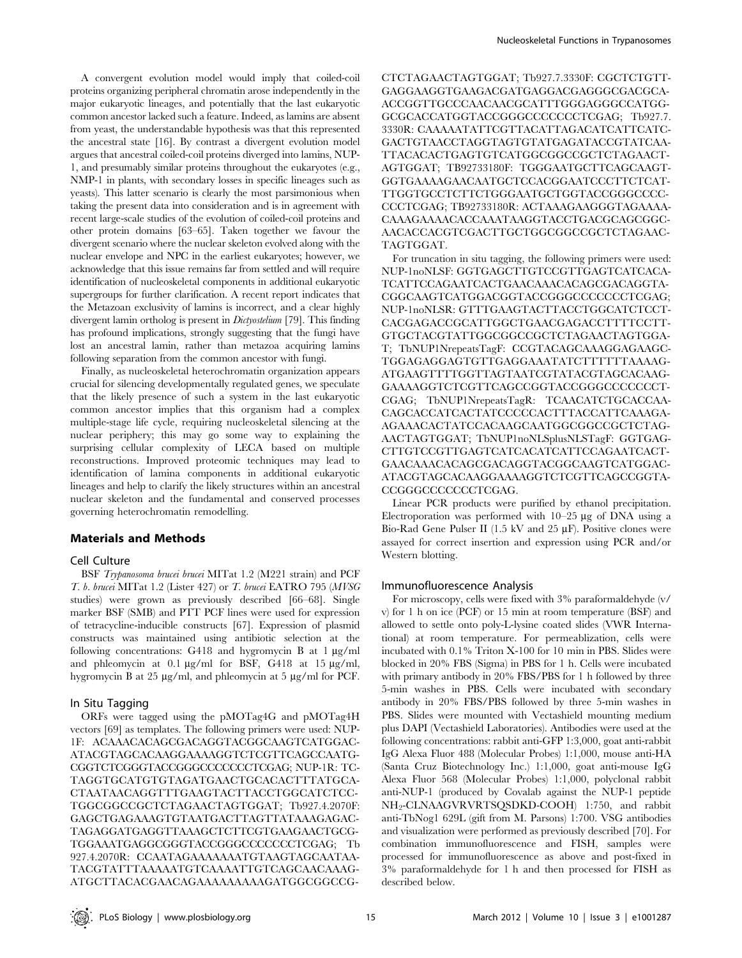A convergent evolution model would imply that coiled-coil proteins organizing peripheral chromatin arose independently in the major eukaryotic lineages, and potentially that the last eukaryotic common ancestor lacked such a feature. Indeed, as lamins are absent from yeast, the understandable hypothesis was that this represented the ancestral state [16]. By contrast a divergent evolution model argues that ancestral coiled-coil proteins diverged into lamins, NUP-1, and presumably similar proteins throughout the eukaryotes (e.g., NMP-1 in plants, with secondary losses in specific lineages such as yeasts). This latter scenario is clearly the most parsimonious when taking the present data into consideration and is in agreement with recent large-scale studies of the evolution of coiled-coil proteins and other protein domains [63–65]. Taken together we favour the divergent scenario where the nuclear skeleton evolved along with the nuclear envelope and NPC in the earliest eukaryotes; however, we acknowledge that this issue remains far from settled and will require identification of nucleoskeletal components in additional eukaryotic supergroups for further clarification. A recent report indicates that the Metazoan exclusivity of lamins is incorrect, and a clear highly divergent lamin ortholog is present in Dictyostelium [79]. This finding has profound implications, strongly suggesting that the fungi have lost an ancestral lamin, rather than metazoa acquiring lamins following separation from the common ancestor with fungi.

Finally, as nucleoskeletal heterochromatin organization appears crucial for silencing developmentally regulated genes, we speculate that the likely presence of such a system in the last eukaryotic common ancestor implies that this organism had a complex multiple-stage life cycle, requiring nucleoskeletal silencing at the nuclear periphery; this may go some way to explaining the surprising cellular complexity of LECA based on multiple reconstructions. Improved proteomic techniques may lead to identification of lamina components in additional eukaryotic lineages and help to clarify the likely structures within an ancestral nuclear skeleton and the fundamental and conserved processes governing heterochromatin remodelling.

## Materials and Methods

#### Cell Culture

BSF Trypanosoma brucei brucei MITat 1.2 (M221 strain) and PCF T. b. brucei MITat 1.2 (Lister 427) or T. brucei EATRO 795 (MVSG studies) were grown as previously described [66–68]. Single marker BSF (SMB) and PTT PCF lines were used for expression of tetracycline-inducible constructs [67]. Expression of plasmid constructs was maintained using antibiotic selection at the following concentrations: G418 and hygromycin B at  $1 \mu g/ml$ and phleomycin at 0.1  $\mu$ g/ml for BSF, G418 at 15  $\mu$ g/ml, hygromycin B at 25  $\mu$ g/ml, and phleomycin at 5  $\mu$ g/ml for PCF.

#### In Situ Tagging

ORFs were tagged using the pMOTag4G and pMOTag4H vectors [69] as templates. The following primers were used: NUP-1F: ACAAACACAGCGACAGGTACGGCAAGTCATGGAC-ATACGTAGCACAAGGAAAAGGTCTCGTTCAGCCAATG-CGGTCTCGGGTACCGGGCCCCCCCTCGAG; NUP-1R: TC-TAGGTGCATGTGTAGATGAACTGCACACTTTATGCA-CTAATAACAGGTTTGAAGTACTTACCTGGCATCTCC-TGGCGGCCGCTCTAGAACTAGTGGAT; Tb927.4.2070F: GAGCTGAGAAAGTGTAATGACTTAGTTATAAAGAGAC-TAGAGGATGAGGTTAAAGCTCTTCGTGAAGAACTGCG-TGGAAATGAGGCGGGTACCGGGCCCCCCCTCGAG; Tb 927.4.2070R: CCAATAGAAAAAAATGTAAGTAGCAATAA-TACGTATTTAAAAATGTCAAAATTGTCAGCAACAAAG-ATGCTTACACGAACAGAAAAAAAAAGATGGCGGCCG- CTCTAGAACTAGTGGAT; Tb927.7.3330F: CGCTCTGTT-GAGGAAGGTGAAGACGATGAGGACGAGGGCGACGCA-ACCGGTTGCCCAACAACGCATTTGGGAGGGCCATGG-GCGCACCATGGTACCGGGCCCCCCCTCGAG; Tb927.7. 3330R: CAAAAATATTCGTTACATTAGACATCATTCATC-GACTGTAACCTAGGTAGTGTATGAGATACCGTATCAA-TTACACACTGAGTGTCATGGCGGCCGCTCTAGAACT-AGTGGAT; TB92733180F: TGGGAATGCTTCAGCAAGT-GGTGAAAAGAACAATGCTCCACGGAATCCCTTCTCAT-TTGGTGCCTCTTCTGGGAATGCTGGTACCGGGCCCC-CCCTCGAG; TB92733180R: ACTAAAGAAGGGTAGAAAA-CAAAGAAAACACCAAATAAGGTACCTGACGCAGCGGC-AACACCACGTCGACTTGCTGGCGGCCGCTCTAGAAC-TAGTGGAT.

For truncation in situ tagging, the following primers were used: NUP-1noNLSF: GGTGAGCTTGTCCGTTGAGTCATCACA-TCATTCCAGAATCACTGAACAAACACAGCGACAGGTA-CGGCAAGTCATGGACGGTACCGGGCCCCCCCTCGAG; NUP-1noNLSR: GTTTGAAGTACTTACCTGGCATCTCCT-CACGAGACCGCATTGGCTGAACGAGACCTTTTCCTT-GTGCTACGTATTGGCGGCCGCTCTAGAACTAGTGGA-T; TbNUP1NrepeatsTagF: CCGTACAGCAAAGGAGAAGC-TGGAGAGGAGTGTTGAGGAAATATCTTTTTTAAAAG-ATGAAGTTTTGGTTAGTAATCGTATACGTAGCACAAG-GAAAAGGTCTCGTTCAGCCGGTACCGGGCCCCCCCT-CGAG; TbNUP1NrepeatsTagR: TCAACATCTGCACCAA-CAGCACCATCACTATCCCCCACTTTACCATTCAAAGA-AGAAACACTATCCACAAGCAATGGCGGCCGCTCTAG-AACTAGTGGAT; TbNUP1noNLSplusNLSTagF: GGTGAG-CTTGTCCGTTGAGTCATCACATCATTCCAGAATCACT-GAACAAACACAGCGACAGGTACGGCAAGTCATGGAC-ATACGTAGCACAAGGAAAAGGTCTCGTTCAGCCGGTA-CCGGGCCCCCCCTCGAG.

Linear PCR products were purified by ethanol precipitation. Electroporation was performed with  $10-25 \mu$ g of DNA using a Bio-Rad Gene Pulser II (1.5 kV and 25  $\mu$ F). Positive clones were assayed for correct insertion and expression using PCR and/or Western blotting.

#### Immunofluorescence Analysis

For microscopy, cells were fixed with 3% paraformaldehyde (v/ v) for 1 h on ice (PCF) or 15 min at room temperature (BSF) and allowed to settle onto poly-L-lysine coated slides (VWR International) at room temperature. For permeablization, cells were incubated with 0.1% Triton X-100 for 10 min in PBS. Slides were blocked in 20% FBS (Sigma) in PBS for 1 h. Cells were incubated with primary antibody in 20% FBS/PBS for 1 h followed by three 5-min washes in PBS. Cells were incubated with secondary antibody in 20% FBS/PBS followed by three 5-min washes in PBS. Slides were mounted with Vectashield mounting medium plus DAPI (Vectashield Laboratories). Antibodies were used at the following concentrations: rabbit anti-GFP 1:3,000, goat anti-rabbit IgG Alexa Fluor 488 (Molecular Probes) 1:1,000, mouse anti-HA (Santa Cruz Biotechnology Inc.) 1:1,000, goat anti-mouse IgG Alexa Fluor 568 (Molecular Probes) 1:1,000, polyclonal rabbit anti-NUP-1 (produced by Covalab against the NUP-1 peptide NH2-CLNAAGVRVRTSQSDKD-COOH) 1:750, and rabbit anti-TbNog1 629L (gift from M. Parsons) 1:700. VSG antibodies and visualization were performed as previously described [70]. For combination immunofluorescence and FISH, samples were processed for immunofluorescence as above and post-fixed in 3% paraformaldehyde for 1 h and then processed for FISH as described below.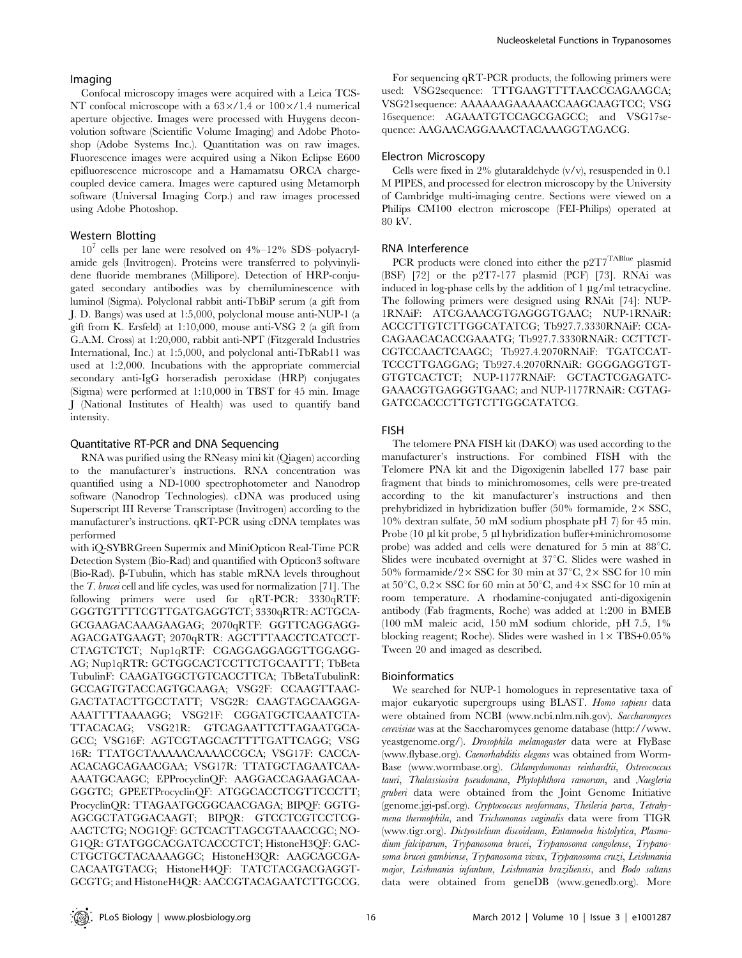#### Imaging

Confocal microscopy images were acquired with a Leica TCS-NT confocal microscope with a  $63\times/1.4$  or  $100\times/1.4$  numerical aperture objective. Images were processed with Huygens deconvolution software (Scientific Volume Imaging) and Adobe Photoshop (Adobe Systems Inc.). Quantitation was on raw images. Fluorescence images were acquired using a Nikon Eclipse E600 epifluorescence microscope and a Hamamatsu ORCA chargecoupled device camera. Images were captured using Metamorph software (Universal Imaging Corp.) and raw images processed using Adobe Photoshop.

# Western Blotting

 $10^7$  cells per lane were resolved on  $4\%$ – $12\%$  SDS–polyacrylamide gels (Invitrogen). Proteins were transferred to polyvinylidene fluoride membranes (Millipore). Detection of HRP-conjugated secondary antibodies was by chemiluminescence with luminol (Sigma). Polyclonal rabbit anti-TbBiP serum (a gift from J. D. Bangs) was used at 1:5,000, polyclonal mouse anti-NUP-1 (a gift from K. Ersfeld) at 1:10,000, mouse anti-VSG 2 (a gift from G.A.M. Cross) at 1:20,000, rabbit anti-NPT (Fitzgerald Industries International, Inc.) at 1:5,000, and polyclonal anti-TbRab11 was used at 1:2,000. Incubations with the appropriate commercial secondary anti-IgG horseradish peroxidase (HRP) conjugates (Sigma) were performed at 1:10,000 in TBST for 45 min. Image J (National Institutes of Health) was used to quantify band intensity.

#### Quantitative RT-PCR and DNA Sequencing

RNA was purified using the RNeasy mini kit (Qiagen) according to the manufacturer's instructions. RNA concentration was quantified using a ND-1000 spectrophotometer and Nanodrop software (Nanodrop Technologies). cDNA was produced using Superscript III Reverse Transcriptase (Invitrogen) according to the manufacturer's instructions. qRT-PCR using cDNA templates was performed

with iQ-SYBRGreen Supermix and MiniOpticon Real-Time PCR Detection System (Bio-Rad) and quantified with Opticon3 software (Bio-Rad).  $\beta$ -Tubulin, which has stable mRNA levels throughout the T. brucei cell and life cycles, was used for normalization [71]. The following primers were used for qRT-PCR: 3330qRTF: GGGTGTTTTCGTTGATGAGGTCT; 3330qRTR: ACTGCA-GCGAAGACAAAGAAGAG; 2070qRTF: GGTTCAGGAGG-AGACGATGAAGT; 2070qRTR: AGCTTTAACCTCATCCT-CTAGTCTCT; Nup1qRTF: CGAGGAGGAGGTTGGAGG-AG; Nup1qRTR: GCTGGCACTCCTTCTGCAATTT; TbBeta TubulinF: CAAGATGGCTGTCACCTTCA; TbBetaTubulinR: GCCAGTGTACCAGTGCAAGA; VSG2F: CCAAGTTAAC-GACTATACTTGCCTATT; VSG2R: CAAGTAGCAAGGA-AAATTTTAAAAGG; VSG21F: CGGATGCTCAAATCTA-TTACACAG; VSG21R: GTCAGAATTCTTAGAATGCA-GCC; VSG16F: AGTCGTAGCACTTTTGATTCAGG; VSG 16R: TTATGCTAAAAACAAAACCGCA; VSG17F: CACCA-ACACAGCAGAACGAA; VSG17R: TTATGCTAGAATCAA-AAATGCAAGC; EPProcyclinQF: AAGGACCAGAAGACAA-GGGTC; GPEETProcyclinQF: ATGGCACCTCGTTCCCTT; ProcyclinQR: TTAGAATGCGGCAACGAGA; BIPQF: GGTG-AGCGCTATGGACAAGT; BIPQR: GTCCTCGTCCTCG-AACTCTG; NOG1QF: GCTCACTTAGCGTAAACCGC; NO-G1QR: GTATGGCACGATCACCCTCT; HistoneH3QF: GAC-CTGCTGCTACAAAAGGC; HistoneH3QR: AAGCAGCGA-CACAATGTACG; HistoneH4QF: TATCTACGACGAGGT-GCGTG; and HistoneH4QR: AACCGTACAGAATCTTGCCG.

For sequencing qRT-PCR products, the following primers were used: VSG2sequence: TTTGAAGTTTTAACCCAGAAGCA; VSG21sequence: AAAAAAGAAAAACCAAGCAAGTCC; VSG 16sequence: AGAAATGTCCAGCGAGCC; and VSG17sequence: AAGAACAGGAAACTACAAAGGTAGACG.

#### Electron Microscopy

Cells were fixed in 2% glutaraldehyde (v/v), resuspended in 0.1 M PIPES, and processed for electron microscopy by the University of Cambridge multi-imaging centre. Sections were viewed on a Philips CM100 electron microscope (FEI-Philips) operated at 80 kV.

#### RNA Interference

PCR products were cloned into either the p2T7<sup>TABlue</sup> plasmid (BSF) [72] or the p2T7-177 plasmid (PCF) [73]. RNAi was induced in log-phase cells by the addition of  $1 \mu g/ml$  tetracycline. The following primers were designed using RNAit [74]: NUP-1RNAiF: ATCGAAACGTGAGGGTGAAC; NUP-1RNAiR: ACCCTTGTCTTGGCATATCG; Tb927.7.3330RNAiF: CCA-CAGAACACACCGAAATG; Tb927.7.3330RNAiR: CCTTCT-CGTCCAACTCAAGC; Tb927.4.2070RNAiF: TGATCCAT-TCCCTTGAGGAG; Tb927.4.2070RNAiR: GGGGAGGTGT-GTGTCACTCT; NUP-1177RNAiF: GCTACTCGAGATC-GAAACGTGAGGGTGAAC; and NUP-1177RNAiR: CGTAG-GATCCACCCTTGTCTTGGCATATCG.

#### FISH

The telomere PNA FISH kit (DAKO) was used according to the manufacturer's instructions. For combined FISH with the Telomere PNA kit and the Digoxigenin labelled 177 base pair fragment that binds to minichromosomes, cells were pre-treated according to the kit manufacturer's instructions and then prehybridized in hybridization buffer (50% formamide,  $2 \times SSC$ , 10% dextran sulfate, 50 mM sodium phosphate pH 7) for 45 min. Probe (10 µl kit probe, 5 µl hybridization buffer+minichromosome probe) was added and cells were denatured for 5 min at  $88^{\circ}$ C. Slides were incubated overnight at 37°C. Slides were washed in 50% formamide/2 $\times$ SSC for 30 min at 37°C, 2 $\times$ SSC for 10 min at  $50^{\circ}$ C,  $0.2 \times$  SSC for 60 min at  $50^{\circ}$ C, and  $4 \times$  SSC for 10 min at room temperature. A rhodamine-conjugated anti-digoxigenin antibody (Fab fragments, Roche) was added at 1:200 in BMEB (100 mM maleic acid, 150 mM sodium chloride, pH 7.5, 1% blocking reagent; Roche). Slides were washed in  $1 \times TBS+0.05\%$ Tween 20 and imaged as described.

#### Bioinformatics

We searched for NUP-1 homologues in representative taxa of major eukaryotic supergroups using BLAST. Homo sapiens data were obtained from NCBI (www.ncbi.nlm.nih.gov). Saccharomyces cerevisiae was at the Saccharomyces genome database (http://www. yeastgenome.org/). Drosophila melanogaster data were at FlyBase (www.flybase.org). Caenorhabditis elegans was obtained from Worm-Base (www.wormbase.org). Chlamydomonas reinhardtii, Ostreococcus tauri, Thalassiosira pseudonana, Phytophthora ramorum, and Naegleria gruberi data were obtained from the Joint Genome Initiative (genome.jgi-psf.org). Cryptococcus neoformans, Theileria parva, Tetrahymena thermophila, and Trichomonas vaginalis data were from TIGR (www.tigr.org). Dictyostelium discoideum, Entamoeba histolytica, Plasmodium falciparum, Trypanosoma brucei, Trypanosoma congolense, Trypanosoma brucei gambiense, Trypanosoma vivax, Trypanosoma cruzi, Leishmania major, Leishmania infantum, Leishmania braziliensis, and Bodo saltans data were obtained from geneDB (www.genedb.org). More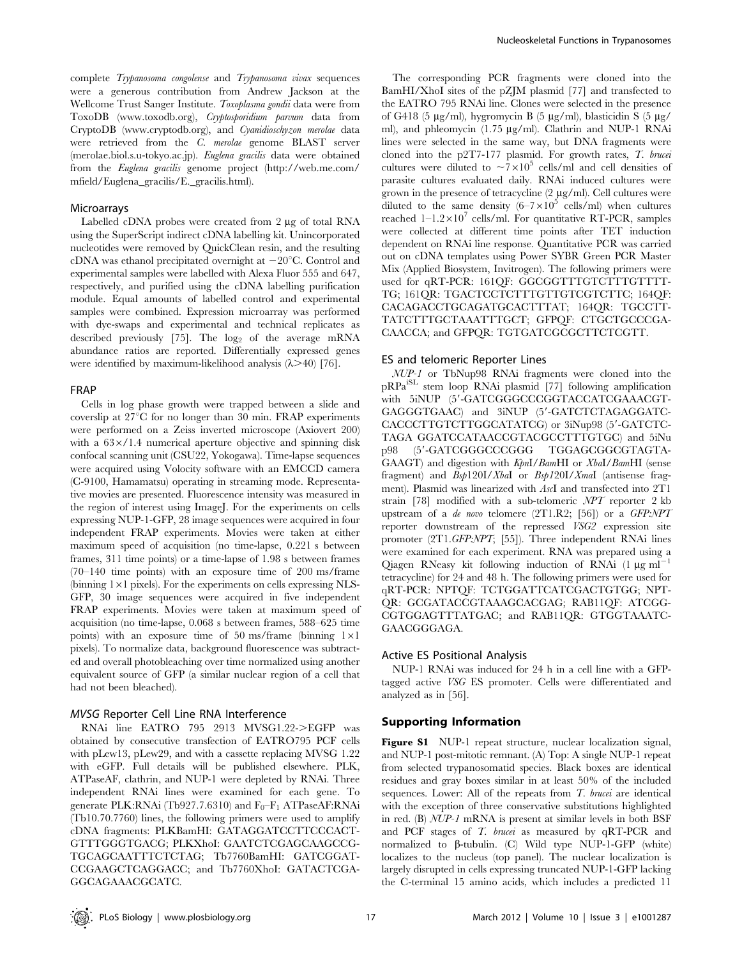complete Trypanosoma congolense and Trypanosoma vivax sequences were a generous contribution from Andrew Jackson at the Wellcome Trust Sanger Institute. Toxoplasma gondii data were from ToxoDB (www.toxodb.org), Cryptosporidium parvum data from CryptoDB (www.cryptodb.org), and Cyanidioschyzon merolae data were retrieved from the C. merolae genome BLAST server (merolae.biol.s.u-tokyo.ac.jp). Euglena gracilis data were obtained from the Euglena gracilis genome project (http://web.me.com/ mfield/Euglena\_gracilis/E.\_gracilis.html).

#### Microarrays

Labelled cDNA probes were created from  $2 \mu$ g of total RNA using the SuperScript indirect cDNA labelling kit. Unincorporated nucleotides were removed by QuickClean resin, and the resulting cDNA was ethanol precipitated overnight at  $-20^{\circ}$ C. Control and experimental samples were labelled with Alexa Fluor 555 and 647, respectively, and purified using the cDNA labelling purification module. Equal amounts of labelled control and experimental samples were combined. Expression microarray was performed with dye-swaps and experimental and technical replicates as described previously [75]. The  $log_2$  of the average mRNA abundance ratios are reported. Differentially expressed genes were identified by maximum-likelihood analysis  $(\lambda > 40)$  [76].

#### FRAP

Cells in log phase growth were trapped between a slide and coverslip at  $27^{\circ}$ C for no longer than 30 min. FRAP experiments were performed on a Zeiss inverted microscope (Axiovert 200) with a  $63 \times / 1.4$  numerical aperture objective and spinning disk confocal scanning unit (CSU22, Yokogawa). Time-lapse sequences were acquired using Volocity software with an EMCCD camera (C-9100, Hamamatsu) operating in streaming mode. Representative movies are presented. Fluorescence intensity was measured in the region of interest using ImageJ. For the experiments on cells expressing NUP-1-GFP, 28 image sequences were acquired in four independent FRAP experiments. Movies were taken at either maximum speed of acquisition (no time-lapse, 0.221 s between frames, 311 time points) or a time-lapse of 1.98 s between frames  $(70-140)$  time points) with an exposure time of 200 ms/frame (binning  $1\times1$  pixels). For the experiments on cells expressing NLS-GFP, 30 image sequences were acquired in five independent FRAP experiments. Movies were taken at maximum speed of acquisition (no time-lapse, 0.068 s between frames, 588–625 time points) with an exposure time of 50 ms/frame (binning  $1\times1$ ) pixels). To normalize data, background fluorescence was subtracted and overall photobleaching over time normalized using another equivalent source of GFP (a similar nuclear region of a cell that had not been bleached).

#### MVSG Reporter Cell Line RNA Interference

RNAi line EATRO 795 2913 MVSG1.22->EGFP was obtained by consecutive transfection of EATRO795 PCF cells with pLew13, pLew29, and with a cassette replacing MVSG 1.22 with eGFP. Full details will be published elsewhere. PLK, ATPaseAF, clathrin, and NUP-1 were depleted by RNAi. Three independent RNAi lines were examined for each gene. To generate PLK:RNAi (Tb927.7.6310) and  $F_0-F_1$  ATPaseAF:RNAi (Tb10.70.7760) lines, the following primers were used to amplify cDNA fragments: PLKBamHI: GATAGGATCCTTCCCACT-GTTTGGGTGACG; PLKXhoI: GAATCTCGAGCAAGCCG-TGCAGCAATTTCTCTAG; Tb7760BamHI: GATCGGAT-CCGAAGCTCAGGACC; and Tb7760XhoI: GATACTCGA-GGCAGAAACGCATC.

The corresponding PCR fragments were cloned into the BamHI/XhoI sites of the pZJM plasmid [77] and transfected to the EATRO 795 RNAi line. Clones were selected in the presence of G418 (5  $\mu$ g/ml), hygromycin B (5  $\mu$ g/ml), blasticidin S (5  $\mu$ g/ ml), and phleomycin (1.75 µg/ml). Clathrin and NUP-1 RNAi lines were selected in the same way, but DNA fragments were cloned into the p2T7-177 plasmid. For growth rates, T. brucei cultures were diluted to  $\sim 7 \times 10^5$  cells/ml and cell densities of parasite cultures evaluated daily. RNAi induced cultures were grown in the presence of tetracycline (2 mg/ml). Cell cultures were diluted to the same density  $(6-7\times10^5 \text{ cells/ml})$  when cultures reached  $1-1.2\times10^7$  cells/ml. For quantitative RT-PCR, samples were collected at different time points after TET induction dependent on RNAi line response. Quantitative PCR was carried out on cDNA templates using Power SYBR Green PCR Master Mix (Applied Biosystem, Invitrogen). The following primers were used for qRT-PCR: 161QF: GGCGGTTTGTCTTTGTTTT-TG; 161QR: TGACTCCTCTTTGTTGTCGTCTTC; 164QF: CACAGACCTGCAGATGCACTTTAT; 164QR: TGCCTT-TATCTTTGCTAAATTTGCT; GFPQF: CTGCTGCCCGA-CAACCA; and GFPQR: TGTGATCGCGCTTCTCGTT.

#### ES and telomeric Reporter Lines

NUP-1 or TbNup98 RNAi fragments were cloned into the pRPaiSL stem loop RNAi plasmid [77] following amplification with 5iNUP (5'-GATCGGGCCCGGTACCATCGAAACGT-GAGGGTGAAC) and 3iNUP (5'-GATCTCTAGAGGATC-CACCCTTGTCTTGGCATATCG) or 3iNup98 (5'-GATCTC-TAGA GGATCCATAACCGTACGCCTTTGTGC) and 5iNu p98 (5'-GATCGGGCCCGGG TGGAGCGGCGTAGTA-GAAGT) and digestion with KpnI/BamHI or XbaI/BamHI (sense fragment) and Bsp120I/XbaI or Bsp120I/XmaI (antisense fragment). Plasmid was linearized with AscI and transfected into 2T1 strain [78] modified with a sub-telomeric NPT reporter 2 kb upstream of a de novo telomere (2T1.R2; [56]) or a GFP:NPT reporter downstream of the repressed VSG2 expression site promoter (2T1.GFP:NPT; [55]). Three independent RNAi lines were examined for each experiment. RNA was prepared using a Qiagen RNeasy kit following induction of RNAi  $(1 \mu g \text{ ml}^{-1})$ tetracycline) for 24 and 48 h. The following primers were used for qRT-PCR: NPTQF: TCTGGATTCATCGACTGTGG; NPT-QR: GCGATACCGTAAAGCACGAG; RAB11QF: ATCGG-CGTGGAGTTTATGAC; and RAB11QR: GTGGTAAATC-GAACGGGAGA.

#### Active ES Positional Analysis

NUP-1 RNAi was induced for 24 h in a cell line with a GFPtagged active VSG ES promoter. Cells were differentiated and analyzed as in [56].

# Supporting Information

Figure S1 NUP-1 repeat structure, nuclear localization signal, and NUP-1 post-mitotic remnant. (A) Top: A single NUP-1 repeat from selected trypanosomatid species. Black boxes are identical residues and gray boxes similar in at least 50% of the included sequences. Lower: All of the repeats from T. brucei are identical with the exception of three conservative substitutions highlighted in red. (B) NUP-1 mRNA is present at similar levels in both BSF and PCF stages of T. brucei as measured by qRT-PCR and normalized to  $\beta$ -tubulin. (C) Wild type NUP-1-GFP (white) localizes to the nucleus (top panel). The nuclear localization is largely disrupted in cells expressing truncated NUP-1-GFP lacking the C-terminal 15 amino acids, which includes a predicted 11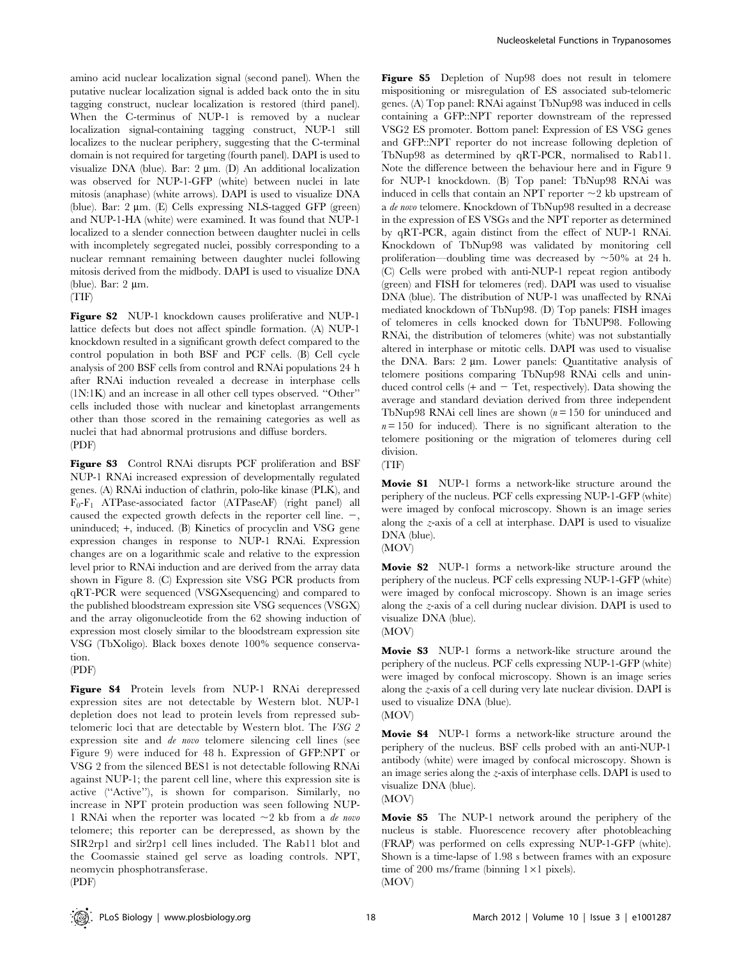amino acid nuclear localization signal (second panel). When the putative nuclear localization signal is added back onto the in situ tagging construct, nuclear localization is restored (third panel). When the C-terminus of NUP-1 is removed by a nuclear localization signal-containing tagging construct, NUP-1 still localizes to the nuclear periphery, suggesting that the C-terminal domain is not required for targeting (fourth panel). DAPI is used to visualize DNA (blue). Bar:  $2 \mu m$ . (D) An additional localization was observed for NUP-1-GFP (white) between nuclei in late mitosis (anaphase) (white arrows). DAPI is used to visualize DNA (blue). Bar:  $2 \mu m$ . (E) Cells expressing NLS-tagged GFP (green) and NUP-1-HA (white) were examined. It was found that NUP-1 localized to a slender connection between daughter nuclei in cells with incompletely segregated nuclei, possibly corresponding to a nuclear remnant remaining between daughter nuclei following mitosis derived from the midbody. DAPI is used to visualize DNA (blue). Bar:  $2 \mu m$ .

(TIF)

Figure S2 NUP-1 knockdown causes proliferative and NUP-1 lattice defects but does not affect spindle formation. (A) NUP-1 knockdown resulted in a significant growth defect compared to the control population in both BSF and PCF cells. (B) Cell cycle analysis of 200 BSF cells from control and RNAi populations 24 h after RNAi induction revealed a decrease in interphase cells (1N:1K) and an increase in all other cell types observed. ''Other'' cells included those with nuclear and kinetoplast arrangements other than those scored in the remaining categories as well as nuclei that had abnormal protrusions and diffuse borders. (PDF)

Figure S3 Control RNAi disrupts PCF proliferation and BSF NUP-1 RNAi increased expression of developmentally regulated genes. (A) RNAi induction of clathrin, polo-like kinase (PLK), and F0-F1 ATPase-associated factor (ATPaseAF) (right panel) all caused the expected growth defects in the reporter cell line.  $-$ , uninduced; +, induced. (B) Kinetics of procyclin and VSG gene expression changes in response to NUP-1 RNAi. Expression changes are on a logarithmic scale and relative to the expression level prior to RNAi induction and are derived from the array data shown in Figure 8. (C) Expression site VSG PCR products from qRT-PCR were sequenced (VSGXsequencing) and compared to the published bloodstream expression site VSG sequences (VSGX) and the array oligonucleotide from the 62 showing induction of expression most closely similar to the bloodstream expression site VSG (TbXoligo). Black boxes denote 100% sequence conservation.

(PDF)

Figure S4 Protein levels from NUP-1 RNAi derepressed expression sites are not detectable by Western blot. NUP-1 depletion does not lead to protein levels from repressed subtelomeric loci that are detectable by Western blot. The VSG 2 expression site and de novo telomere silencing cell lines (see Figure 9) were induced for 48 h. Expression of GFP:NPT or VSG 2 from the silenced BES1 is not detectable following RNAi against NUP-1; the parent cell line, where this expression site is active (''Active''), is shown for comparison. Similarly, no increase in NPT protein production was seen following NUP-1 RNAi when the reporter was located  $\sim$ 2 kb from a de novo telomere; this reporter can be derepressed, as shown by the SIR2rp1 and sir2rp1 cell lines included. The Rab11 blot and the Coomassie stained gel serve as loading controls. NPT, neomycin phosphotransferase.

Figure S5 Depletion of Nup98 does not result in telomere mispositioning or misregulation of ES associated sub-telomeric genes. (A) Top panel: RNAi against TbNup98 was induced in cells containing a GFP::NPT reporter downstream of the repressed VSG2 ES promoter. Bottom panel: Expression of ES VSG genes and GFP::NPT reporter do not increase following depletion of TbNup98 as determined by qRT-PCR, normalised to Rab11. Note the difference between the behaviour here and in Figure 9 for NUP-1 knockdown. (B) Top panel: TbNup98 RNAi was induced in cells that contain an NPT reporter  $\sim$ 2 kb upstream of a de novo telomere. Knockdown of TbNup98 resulted in a decrease in the expression of ES VSGs and the NPT reporter as determined by qRT-PCR, again distinct from the effect of NUP-1 RNAi. Knockdown of TbNup98 was validated by monitoring cell proliferation—doubling time was decreased by  $\sim$ 50% at 24 h. (C) Cells were probed with anti-NUP-1 repeat region antibody (green) and FISH for telomeres (red). DAPI was used to visualise DNA (blue). The distribution of NUP-1 was unaffected by RNAi mediated knockdown of TbNup98. (D) Top panels: FISH images of telomeres in cells knocked down for TbNUP98. Following RNAi, the distribution of telomeres (white) was not substantially altered in interphase or mitotic cells. DAPI was used to visualise the DNA. Bars: 2 um. Lower panels: Quantitative analysis of telomere positions comparing TbNup98 RNAi cells and uninduced control cells  $(+$  and  $-$  Tet, respectively). Data showing the average and standard deviation derived from three independent TbNup98 RNAi cell lines are shown  $(n = 150$  for uninduced and  $n = 150$  for induced). There is no significant alteration to the telomere positioning or the migration of telomeres during cell division.

(TIF)

Movie S1 NUP-1 forms a network-like structure around the periphery of the nucleus. PCF cells expressing NUP-1-GFP (white) were imaged by confocal microscopy. Shown is an image series along the z-axis of a cell at interphase. DAPI is used to visualize DNA (blue).

(MOV)

Movie S2 NUP-1 forms a network-like structure around the periphery of the nucleus. PCF cells expressing NUP-1-GFP (white) were imaged by confocal microscopy. Shown is an image series along the z-axis of a cell during nuclear division. DAPI is used to visualize DNA (blue).

(MOV)

Movie S3 NUP-1 forms a network-like structure around the periphery of the nucleus. PCF cells expressing NUP-1-GFP (white) were imaged by confocal microscopy. Shown is an image series along the z-axis of a cell during very late nuclear division. DAPI is used to visualize DNA (blue).

(MOV)

Movie S4 NUP-1 forms a network-like structure around the periphery of the nucleus. BSF cells probed with an anti-NUP-1 antibody (white) were imaged by confocal microscopy. Shown is an image series along the z-axis of interphase cells. DAPI is used to visualize DNA (blue). (MOV)

Movie S5 The NUP-1 network around the periphery of the nucleus is stable. Fluorescence recovery after photobleaching (FRAP) was performed on cells expressing NUP-1-GFP (white). Shown is a time-lapse of 1.98 s between frames with an exposure time of 200 ms/frame (binning  $1 \times 1$  pixels). (MOV)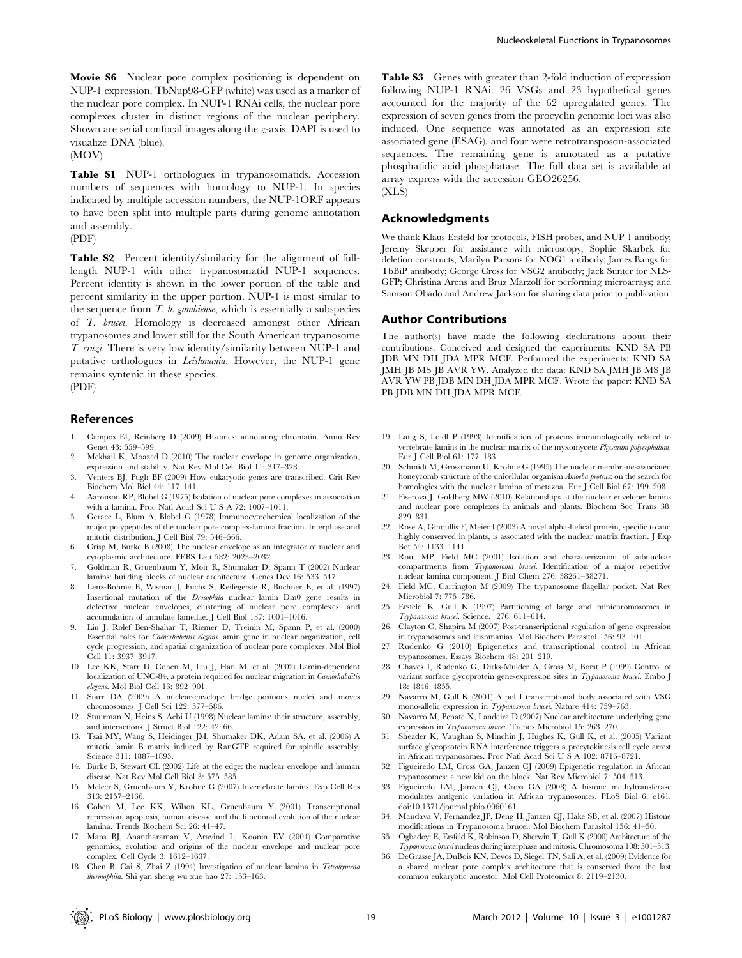Movie S6 Nuclear pore complex positioning is dependent on NUP-1 expression. TbNup98-GFP (white) was used as a marker of the nuclear pore complex. In NUP-1 RNAi cells, the nuclear pore complexes cluster in distinct regions of the nuclear periphery. Shown are serial confocal images along the  $z$ -axis. DAPI is used to visualize DNA (blue).

(MOV)

Table S1 NUP-1 orthologues in trypanosomatids. Accession numbers of sequences with homology to NUP-1. In species indicated by multiple accession numbers, the NUP-1ORF appears to have been split into multiple parts during genome annotation and assembly.

(PDF)

Table S2 Percent identity/similarity for the alignment of fulllength NUP-1 with other trypanosomatid NUP-1 sequences. Percent identity is shown in the lower portion of the table and percent similarity in the upper portion. NUP-1 is most similar to the sequence from  $T.$  b. gambiense, which is essentially a subspecies of T. brucei. Homology is decreased amongst other African trypanosomes and lower still for the South American trypanosome T. cruzi. There is very low identity/similarity between NUP-1 and putative orthologues in Leishmania. However, the NUP-1 gene remains syntenic in these species. (PDF)

#### References

- 1. Campos EI, Reinberg D (2009) Histones: annotating chromatin. Annu Rev Genet 43: 559–599.
- 2. Mekhail K, Moazed D (2010) The nuclear envelope in genome organization, expression and stability. Nat Rev Mol Cell Biol 11: 317–328.
- 3. Venters BJ, Pugh BF (2009) How eukaryotic genes are transcribed. Crit Rev Biochem Mol Biol 44: 117–141.
- 4. Aaronson RP, Blobel G (1975) Isolation of nuclear pore complexes in association with a lamina. Proc Natl Acad Sci U S A 72: 1007–1011.
- 5. Gerace L, Blum A, Blobel G (1978) Immunocytochemical localization of the major polypeptides of the nuclear pore complex-lamina fraction. Interphase and mitotic distribution. J Cell Biol 79: 546–566.
- 6. Crisp M, Burke B (2008) The nuclear envelope as an integrator of nuclear and cytoplasmic architecture. FEBS Lett 582: 2023–2032.
- 7. Goldman R, Gruenbaum Y, Moir R, Shumaker D, Spann T (2002) Nuclear lamins: building blocks of nuclear architecture. Genes Dev 16: 533–547.
- 8. Lenz-Bohme B, Wismar J, Fuchs S, Reifegerste R, Buchner E, et al. (1997) Insertional mutation of the Drosophila nuclear lamin Dm0 gene results in defective nuclear envelopes, clustering of nuclear pore complexes, and accumulation of annulate lamellae. J Cell Biol 137: 1001–1016.
- 9. Liu J, Rolef Ben-Shahar T, Riemer D, Treinin M, Spann P, et al. (2000) Essential roles for Caenorhabditis elegans lamin gene in nuclear organization, cell cycle progression, and spatial organization of nuclear pore complexes. Mol Biol Cell 11: 3937–3947.
- 10. Lee KK, Starr D, Cohen M, Liu J, Han M, et al. (2002) Lamin-dependent localization of UNC-84, a protein required for nuclear migration in Caenorhabditis elegans. Mol Biol Cell 13: 892–901.
- 11. Starr DA (2009) A nuclear-envelope bridge positions nuclei and moves chromosomes. J Cell Sci 122: 577–586.
- 12. Stuurman N, Heins S, Aebi U (1998) Nuclear lamins: their structure, assembly, and interactions. J Struct Biol 122: 42–66.
- 13. Tsai MY, Wang S, Heidinger JM, Shumaker DK, Adam SA, et al. (2006) A mitotic lamin B matrix induced by RanGTP required for spindle assembly. Science 311: 1887–1893.
- 14. Burke B, Stewart CL (2002) Life at the edge: the nuclear envelope and human disease. Nat Rev Mol Cell Biol 3: 575–585.
- 15. Melcer S, Gruenbaum Y, Krohne G (2007) Invertebrate lamins. Exp Cell Res 313: 2157–2166.
- 16. Cohen M, Lee KK, Wilson KL, Gruenbaum Y (2001) Transcriptional repression, apoptosis, human disease and the functional evolution of the nuclear lamina. Trends Biochem Sci 26: 41–47.
- 17. Mans BJ, Anantharaman V, Aravind L, Koonin EV (2004) Comparative genomics, evolution and origins of the nuclear envelope and nuclear pore complex. Cell Cycle 3: 1612–1637. 18. Chen B, Cai S, Zhai Z (1994) Investigation of nuclear lamina in Tetrahymena

Nucleoskeletal Functions in Trypanosomes

Table S3 Genes with greater than 2-fold induction of expression following NUP-1 RNAi. 26 VSGs and 23 hypothetical genes accounted for the majority of the 62 upregulated genes. The expression of seven genes from the procyclin genomic loci was also induced. One sequence was annotated as an expression site associated gene (ESAG), and four were retrotransposon-associated sequences. The remaining gene is annotated as a putative phosphatidic acid phosphatase. The full data set is available at array express with the accession GEO26256. (XLS)

#### Acknowledgments

We thank Klaus Ersfeld for protocols, FISH probes, and NUP-1 antibody; Jeremy Skepper for assistance with microscopy; Sophie Skarbek for deletion constructs; Marilyn Parsons for NOG1 antibody; James Bangs for TbBiP antibody; George Cross for VSG2 antibody; Jack Sunter for NLS-GFP; Christina Arens and Bruz Marzolf for performing microarrays; and Samson Obado and Andrew Jackson for sharing data prior to publication.

#### Author Contributions

The author(s) have made the following declarations about their contributions: Conceived and designed the experiments: KND SA PB JDB MN DH JDA MPR MCF. Performed the experiments: KND SA JMH JB MS JB AVR YW. Analyzed the data: KND SA JMH JB MS JB AVR YW PB JDB MN DH JDA MPR MCF. Wrote the paper: KND SA PB JDB MN DH JDA MPR MCF.

- 19. Lang S, Loidl P (1993) Identification of proteins immunologically related to vertebrate lamins in the nuclear matrix of the myxomycete Physarum polycephalum. Eur J Cell Biol 61: 177–183.
- 20. Schmidt M, Grossmann U, Krohne G (1995) The nuclear membrane-associated honeycomb structure of the unicellular organism Amoeba proteus: on the search for homologies with the nuclear lamina of metazoa. Eur J Cell Biol 67: 199–208.
- 21. Fiserova J, Goldberg MW (2010) Relationships at the nuclear envelope: lamins and nuclear pore complexes in animals and plants. Biochem Soc Trans 38: 829–831.
- 22. Rose A, Gindullis F, Meier I (2003) A novel alpha-helical protein, specific to and highly conserved in plants, is associated with the nuclear matrix fraction. J Exp Bot 54: 1133–1141.
- 23. Rout MP, Field MC (2001) Isolation and characterization of subnuclear compartments from Trypanosoma brucei. Identification of a major repetitive nuclear lamina component. J Biol Chem 276: 38261–38271.
- 24. Field MC, Carrington M (2009) The trypanosome flagellar pocket. Nat Rev Microbiol 7: 775–786.
- 25. Ersfeld K, Gull K (1997) Partitioning of large and minichromosomes in Trypanosoma brucei. Science. 276: 611–614.
- 26. Clayton C, Shapira M (2007) Post-transcriptional regulation of gene expression in trypanosomes and leishmanias. Mol Biochem Parasitol 156: 93–101.
- 27. Rudenko G (2010) Epigenetics and transcriptional control in African trypanosomes. Essays Biochem 48: 201–219.
- 28. Chaves I, Rudenko G, Dirks-Mulder A, Cross M, Borst P (1999) Control of variant surface glycoprotein gene-expression sites in Trypanosoma brucei. Embo J 18: 4846–4855.
- 29. Navarro M, Gull K (2001) A pol I transcriptional body associated with VSG mono-allelic expression in Trypanosoma brucei. Nature 414: 759–763.
- 30. Navarro M, Penate X, Landeira D (2007) Nuclear architecture underlying gene expression in Trypanosoma brucei. Trends Microbiol 15: 263-270.
- 31. Sheader K, Vaughan S, Minchin J, Hughes K, Gull K, et al. (2005) Variant surface glycoprotein RNA interference triggers a precytokinesis cell cycle arrest in African trypanosomes. Proc Natl Acad Sci U S A 102: 8716–8721.
- 32. Figueiredo LM, Cross GA, Janzen CJ (2009) Epigenetic regulation in African trypanosomes: a new kid on the block. Nat Rev Microbiol 7: 504–513.
- 33. Figueiredo LM, Janzen CJ, Cross GA (2008) A histone methyltransferase modulates antigenic variation in African trypanosomes. PLoS Biol 6: e161. doi:10.1371/journal.pbio.0060161.
- 34. Mandava V, Fernandez JP, Deng H, Janzen CJ, Hake SB, et al. (2007) Histone modifications in Trypanosoma brucei. Mol Biochem Parasitol 156: 41–50.
- 35. Ogbadoyi E, Ersfeld K, Robinson D, Sherwin T, Gull K (2000) Architecture of the Trypanosoma brucei nucleus during interphase and mitosis. Chromosoma 108: 501–513.
- 36. DeGrasse JA, DuBois KN, Devos D, Siegel TN, Sali A, et al. (2009) Evidence for a shared nuclear pore complex architecture that is conserved from the last common eukaryotic ancestor. Mol Cell Proteomics 8: 2119–2130.

thermophila. Shi yan sheng wu xue bao 27: 153–163.